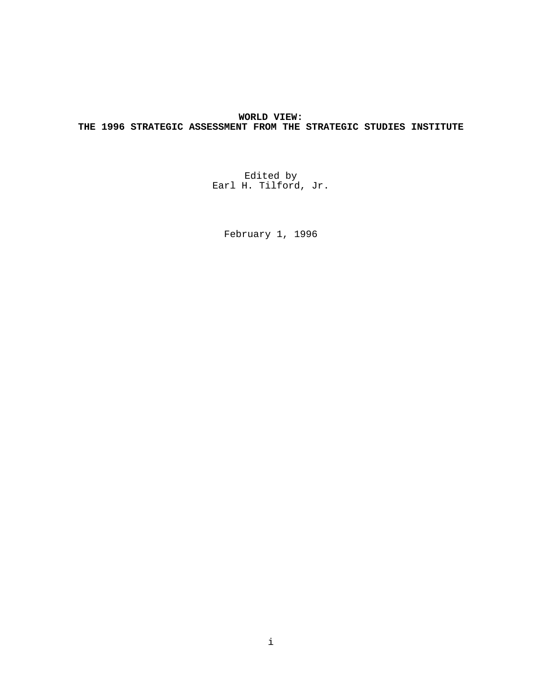# **WORLD VIEW: THE 1996 STRATEGIC ASSESSMENT FROM THE STRATEGIC STUDIES INSTITUTE**

Edited by Earl H. Tilford, Jr.

February 1, 1996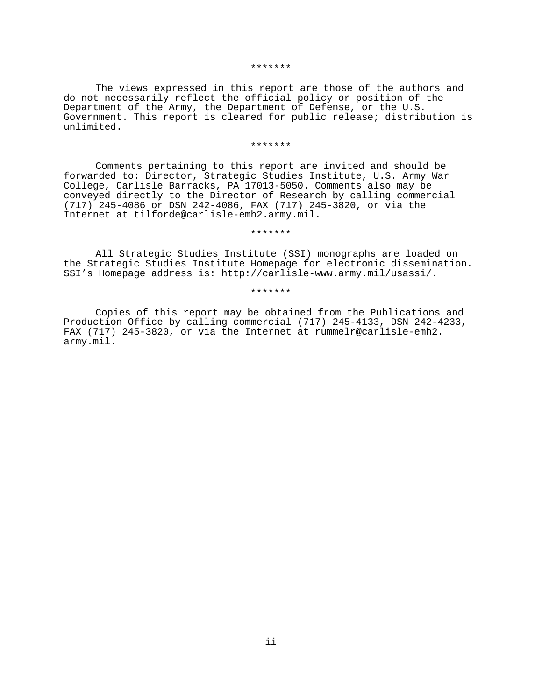#### \*\*\*\*\*\*\*

The views expressed in this report are those of the authors and do not necessarily reflect the official policy or position of the Department of the Army, the Department of Defense, or the U.S. Government. This report is cleared for public release; distribution is unlimited.

### \*\*\*\*\*\*\*

Comments pertaining to this report are invited and should be forwarded to: Director, Strategic Studies Institute, U.S. Army War College, Carlisle Barracks, PA 17013-5050. Comments also may be conveyed directly to the Director of Research by calling commercial (717) 245-4086 or DSN 242-4086, FAX (717) 245-3820, or via the Internet at tilforde@carlisle-emh2.army.mil.

### \*\*\*\*\*\*\*

All Strategic Studies Institute (SSI) monographs are loaded on the Strategic Studies Institute Homepage for electronic dissemination. SSI's Homepage address is: http://carlisle-www.army.mil/usassi/.

## \*\*\*\*\*\*\*

Copies of this report may be obtained from the Publications and Production Office by calling commercial (717) 245-4133, DSN 242-4233, FAX (717) 245-3820, or via the Internet at rummelr@carlisle-emh2. army.mil.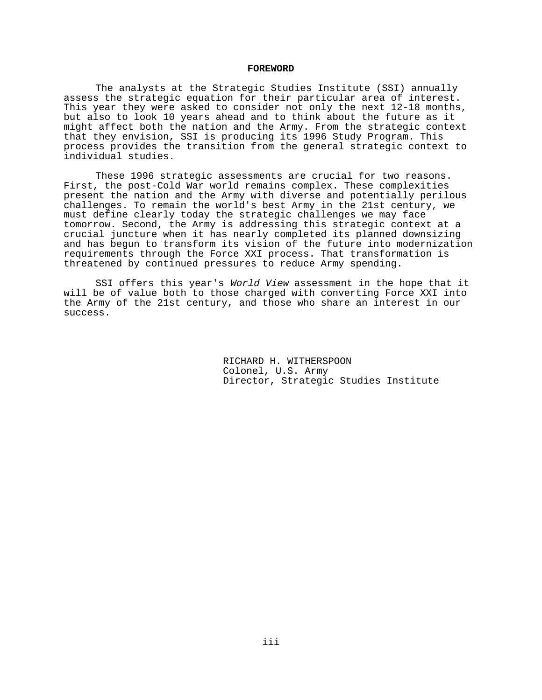### **FOREWORD**

The analysts at the Strategic Studies Institute (SSI) annually assess the strategic equation for their particular area of interest. This year they were asked to consider not only the next 12-18 months, but also to look 10 years ahead and to think about the future as it might affect both the nation and the Army. From the strategic context that they envision, SSI is producing its 1996 Study Program. This process provides the transition from the general strategic context to individual studies.

These 1996 strategic assessments are crucial for two reasons. First, the post-Cold War world remains complex. These complexities present the nation and the Army with diverse and potentially perilous challenges. To remain the world's best Army in the 21st century, we must define clearly today the strategic challenges we may face tomorrow. Second, the Army is addressing this strategic context at a crucial juncture when it has nearly completed its planned downsizing and has begun to transform its vision of the future into modernization requirements through the Force XXI process. That transformation is threatened by continued pressures to reduce Army spending.

SSI offers this year's World View assessment in the hope that it will be of value both to those charged with converting Force XXI into the Army of the 21st century, and those who share an interest in our success.

> RICHARD H. WITHERSPOON Colonel, U.S. Army Director, Strategic Studies Institute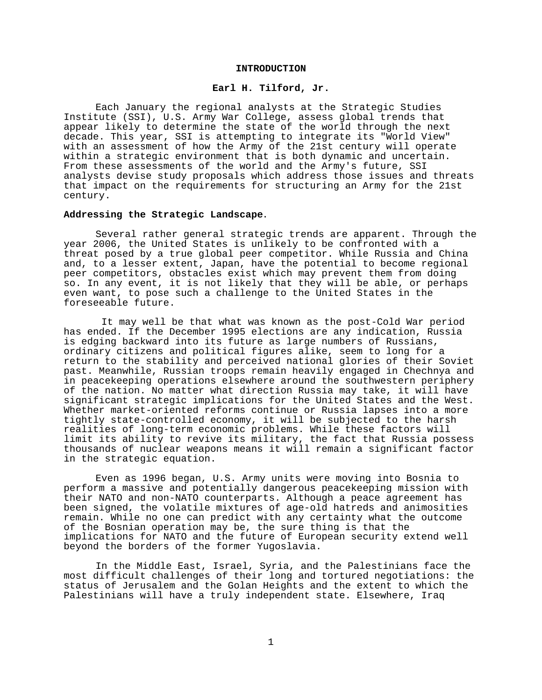#### **INTRODUCTION**

# **Earl H. Tilford, Jr.**

Each January the regional analysts at the Strategic Studies Institute (SSI), U.S. Army War College, assess global trends that appear likely to determine the state of the world through the next decade. This year, SSI is attempting to integrate its "World View" with an assessment of how the Army of the 21st century will operate within a strategic environment that is both dynamic and uncertain. From these assessments of the world and the Army's future, SSI analysts devise study proposals which address those issues and threats that impact on the requirements for structuring an Army for the 21st century.

#### **Addressing the Strategic Landscape**.

Several rather general strategic trends are apparent. Through the year 2006, the United States is unlikely to be confronted with a threat posed by a true global peer competitor. While Russia and China and, to a lesser extent, Japan, have the potential to become regional peer competitors, obstacles exist which may prevent them from doing so. In any event, it is not likely that they will be able, or perhaps even want, to pose such a challenge to the United States in the foreseeable future.

 It may well be that what was known as the post-Cold War period has ended. If the December 1995 elections are any indication, Russia is edging backward into its future as large numbers of Russians, ordinary citizens and political figures alike, seem to long for a return to the stability and perceived national glories of their Soviet past. Meanwhile, Russian troops remain heavily engaged in Chechnya and in peacekeeping operations elsewhere around the southwestern periphery of the nation. No matter what direction Russia may take, it will have significant strategic implications for the United States and the West. Whether market-oriented reforms continue or Russia lapses into a more tightly state-controlled economy, it will be subjected to the harsh realities of long-term economic problems. While these factors will limit its ability to revive its military, the fact that Russia possess thousands of nuclear weapons means it will remain a significant factor in the strategic equation.

Even as 1996 began, U.S. Army units were moving into Bosnia to perform a massive and potentially dangerous peacekeeping mission with their NATO and non-NATO counterparts. Although a peace agreement has been signed, the volatile mixtures of age-old hatreds and animosities remain. While no one can predict with any certainty what the outcome of the Bosnian operation may be, the sure thing is that the implications for NATO and the future of European security extend well beyond the borders of the former Yugoslavia.

In the Middle East, Israel, Syria, and the Palestinians face the most difficult challenges of their long and tortured negotiations: the status of Jerusalem and the Golan Heights and the extent to which the Palestinians will have a truly independent state. Elsewhere, Iraq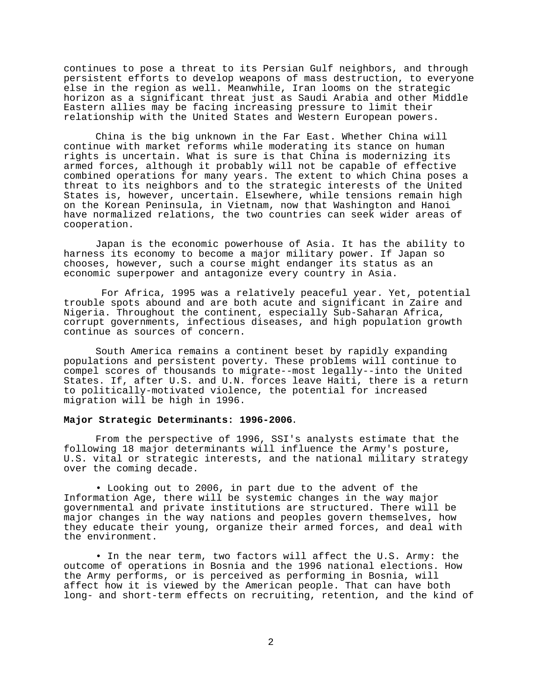continues to pose a threat to its Persian Gulf neighbors, and through persistent efforts to develop weapons of mass destruction, to everyone else in the region as well. Meanwhile, Iran looms on the strategic horizon as a significant threat just as Saudi Arabia and other Middle Eastern allies may be facing increasing pressure to limit their relationship with the United States and Western European powers.

China is the big unknown in the Far East. Whether China will continue with market reforms while moderating its stance on human rights is uncertain. What is sure is that China is modernizing its armed forces, although it probably will not be capable of effective combined operations for many years. The extent to which China poses a threat to its neighbors and to the strategic interests of the United States is, however, uncertain. Elsewhere, while tensions remain high on the Korean Peninsula, in Vietnam, now that Washington and Hanoi have normalized relations, the two countries can seek wider areas of cooperation.

Japan is the economic powerhouse of Asia. It has the ability to harness its economy to become a major military power. If Japan so chooses, however, such a course might endanger its status as an economic superpower and antagonize every country in Asia.

 For Africa, 1995 was a relatively peaceful year. Yet, potential trouble spots abound and are both acute and significant in Zaire and Nigeria. Throughout the continent, especially Sub-Saharan Africa, corrupt governments, infectious diseases, and high population growth continue as sources of concern.

South America remains a continent beset by rapidly expanding populations and persistent poverty. These problems will continue to compel scores of thousands to migrate--most legally--into the United States. If, after U.S. and U.N. forces leave Haiti, there is a return to politically-motivated violence, the potential for increased migration will be high in 1996.

#### **Major Strategic Determinants: 1996-2006**.

From the perspective of 1996, SSI's analysts estimate that the following 18 major determinants will influence the Army's posture, U.S. vital or strategic interests, and the national military strategy over the coming decade.

• Looking out to 2006, in part due to the advent of the Information Age, there will be systemic changes in the way major governmental and private institutions are structured. There will be major changes in the way nations and peoples govern themselves, how they educate their young, organize their armed forces, and deal with the environment.

• In the near term, two factors will affect the U.S. Army: the outcome of operations in Bosnia and the 1996 national elections. How the Army performs, or is perceived as performing in Bosnia, will affect how it is viewed by the American people. That can have both long- and short-term effects on recruiting, retention, and the kind of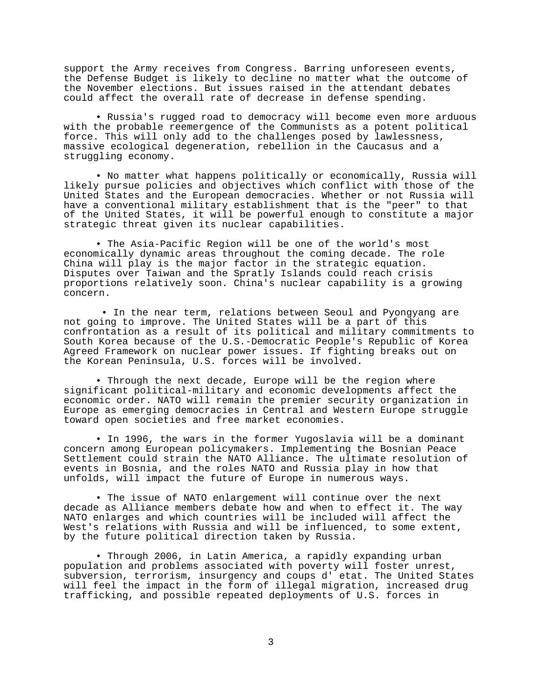support the Army receives from Congress. Barring unforeseen events, the Defense Budget is likely to decline no matter what the outcome of the November elections. But issues raised in the attendant debates could affect the overall rate of decrease in defense spending.

• Russia's rugged road to democracy will become even more arduous with the probable reemergence of the Communists as a potent political force. This will only add to the challenges posed by lawlessness, massive ecological degeneration, rebellion in the Caucasus and a struggling economy.

• No matter what happens politically or economically, Russia will likely pursue policies and objectives which conflict with those of the United States and the European democracies. Whether or not Russia will have a conventional military establishment that is the "peer" to that of the United States, it will be powerful enough to constitute a major strategic threat given its nuclear capabilities.

• The Asia-Pacific Region will be one of the world's most economically dynamic areas throughout the coming decade. The role China will play is the major factor in the strategic equation. Disputes over Taiwan and the Spratly Islands could reach crisis proportions relatively soon. China's nuclear capability is a growing concern.

 • In the near term, relations between Seoul and Pyongyang are not going to improve. The United States will be a part of this confrontation as a result of its political and military commitments to South Korea because of the U.S.-Democratic People's Republic of Korea Agreed Framework on nuclear power issues. If fighting breaks out on the Korean Peninsula, U.S. forces will be involved.

• Through the next decade, Europe will be the region where significant political-military and economic developments affect the economic order. NATO will remain the premier security organization in Europe as emerging democracies in Central and Western Europe struggle toward open societies and free market economies.

• In 1996, the wars in the former Yugoslavia will be a dominant concern among European policymakers. Implementing the Bosnian Peace Settlement could strain the NATO Alliance. The ultimate resolution of events in Bosnia, and the roles NATO and Russia play in how that unfolds, will impact the future of Europe in numerous ways.

• The issue of NATO enlargement will continue over the next decade as Alliance members debate how and when to effect it. The way NATO enlarges and which countries will be included will affect the West's relations with Russia and will be influenced, to some extent, by the future political direction taken by Russia.

• Through 2006, in Latin America, a rapidly expanding urban population and problems associated with poverty will foster unrest, subversion, terrorism, insurgency and coups d' etat. The United States will feel the impact in the form of illegal migration, increased drug trafficking, and possible repeated deployments of U.S. forces in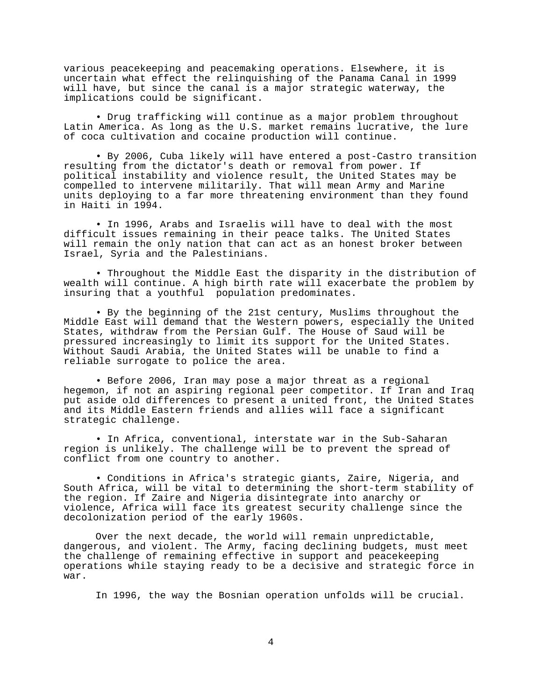various peacekeeping and peacemaking operations. Elsewhere, it is uncertain what effect the relinquishing of the Panama Canal in 1999 will have, but since the canal is a major strategic waterway, the implications could be significant.

• Drug trafficking will continue as a major problem throughout Latin America. As long as the U.S. market remains lucrative, the lure of coca cultivation and cocaine production will continue.

• By 2006, Cuba likely will have entered a post-Castro transition resulting from the dictator's death or removal from power. If political instability and violence result, the United States may be compelled to intervene militarily. That will mean Army and Marine units deploying to a far more threatening environment than they found in Haiti in 1994.

• In 1996, Arabs and Israelis will have to deal with the most difficult issues remaining in their peace talks. The United States will remain the only nation that can act as an honest broker between Israel, Syria and the Palestinians.

• Throughout the Middle East the disparity in the distribution of wealth will continue. A high birth rate will exacerbate the problem by insuring that a youthful population predominates.

• By the beginning of the 21st century, Muslims throughout the Middle East will demand that the Western powers, especially the United States, withdraw from the Persian Gulf. The House of Saud will be pressured increasingly to limit its support for the United States. Without Saudi Arabia, the United States will be unable to find a reliable surrogate to police the area.

• Before 2006, Iran may pose a major threat as a regional hegemon, if not an aspiring regional peer competitor. If Iran and Iraq put aside old differences to present a united front, the United States and its Middle Eastern friends and allies will face a significant strategic challenge.

• In Africa, conventional, interstate war in the Sub-Saharan region is unlikely. The challenge will be to prevent the spread of conflict from one country to another.

• Conditions in Africa's strategic giants, Zaire, Nigeria, and South Africa, will be vital to determining the short-term stability of the region. If Zaire and Nigeria disintegrate into anarchy or violence, Africa will face its greatest security challenge since the decolonization period of the early 1960s.

Over the next decade, the world will remain unpredictable, dangerous, and violent. The Army, facing declining budgets, must meet the challenge of remaining effective in support and peacekeeping operations while staying ready to be a decisive and strategic force in war.

In 1996, the way the Bosnian operation unfolds will be crucial.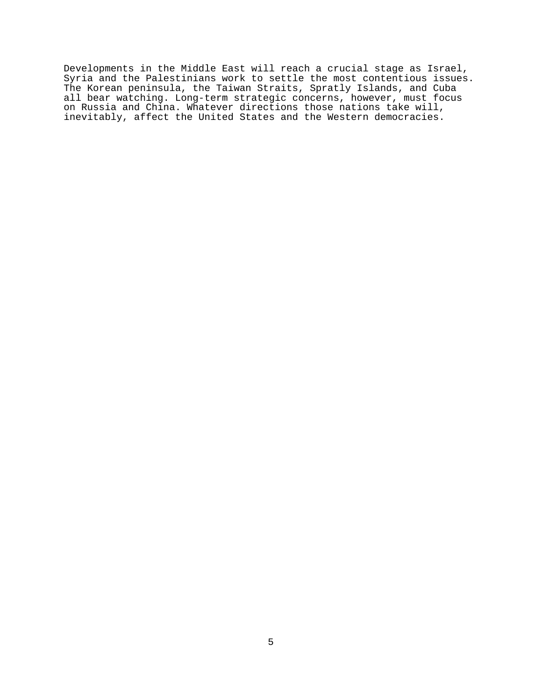Developments in the Middle East will reach a crucial stage as Israel, Syria and the Palestinians work to settle the most contentious issues. The Korean peninsula, the Taiwan Straits, Spratly Islands, and Cuba all bear watching. Long-term strategic concerns, however, must focus on Russia and China. Whatever directions those nations take will, inevitably, affect the United States and the Western democracies.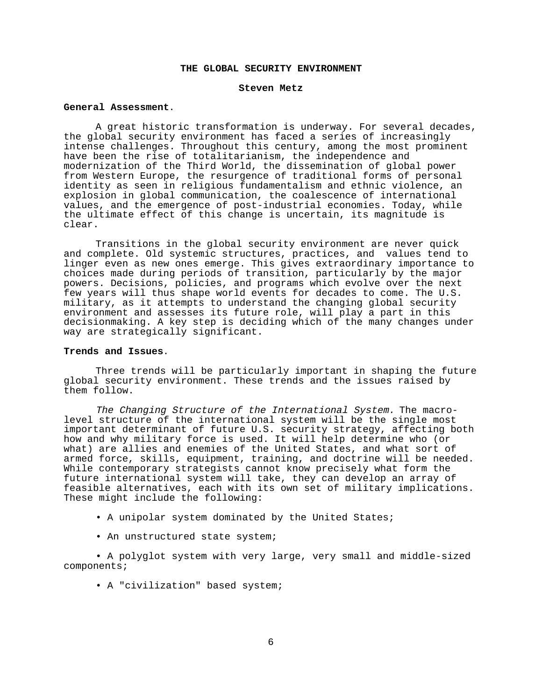### **THE GLOBAL SECURITY ENVIRONMENT**

#### **Steven Metz**

# **General Assessment**.

A great historic transformation is underway. For several decades, the global security environment has faced a series of increasingly intense challenges. Throughout this century, among the most prominent have been the rise of totalitarianism, the independence and modernization of the Third World, the dissemination of global power from Western Europe, the resurgence of traditional forms of personal identity as seen in religious fundamentalism and ethnic violence, an explosion in global communication, the coalescence of international values, and the emergence of post-industrial economies. Today, while the ultimate effect of this change is uncertain, its magnitude is clear.

Transitions in the global security environment are never quick and complete. Old systemic structures, practices, and values tend to linger even as new ones emerge. This gives extraordinary importance to choices made during periods of transition, particularly by the major powers. Decisions, policies, and programs which evolve over the next few years will thus shape world events for decades to come. The U.S. military, as it attempts to understand the changing global security environment and assesses its future role, will play a part in this decisionmaking. A key step is deciding which of the many changes under way are strategically significant.

#### **Trends and Issues**.

Three trends will be particularly important in shaping the future global security environment. These trends and the issues raised by them follow.

The Changing Structure of the International System. The macrolevel structure of the international system will be the single most important determinant of future U.S. security strategy, affecting both how and why military force is used. It will help determine who (or what) are allies and enemies of the United States, and what sort of armed force, skills, equipment, training, and doctrine will be needed. While contemporary strategists cannot know precisely what form the future international system will take, they can develop an array of feasible alternatives, each with its own set of military implications. These might include the following:

- A unipolar system dominated by the United States;
- An unstructured state system;

• A polyglot system with very large, very small and middle-sized components;

• A "civilization" based system;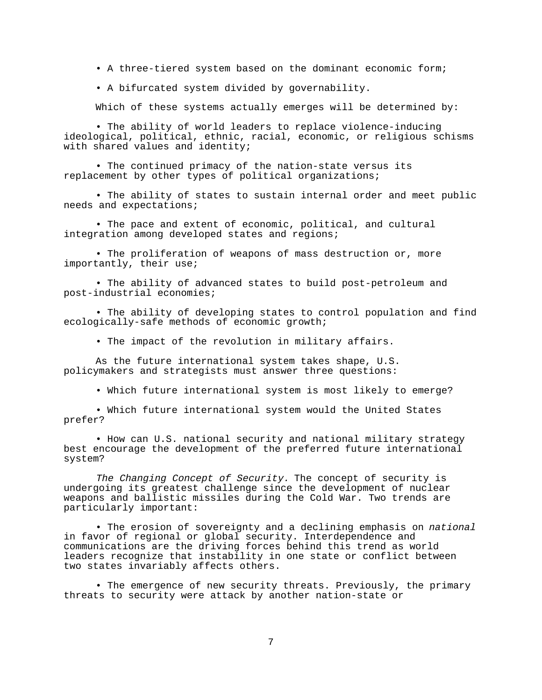• A three-tiered system based on the dominant economic form;

• A bifurcated system divided by governability.

Which of these systems actually emerges will be determined by:

• The ability of world leaders to replace violence-inducing ideological, political, ethnic, racial, economic, or religious schisms with shared values and identity;

• The continued primacy of the nation-state versus its replacement by other types of political organizations;

• The ability of states to sustain internal order and meet public needs and expectations;

• The pace and extent of economic, political, and cultural integration among developed states and regions;

• The proliferation of weapons of mass destruction or, more importantly, their use;

• The ability of advanced states to build post-petroleum and post-industrial economies;

• The ability of developing states to control population and find ecologically-safe methods of economic growth;

• The impact of the revolution in military affairs.

As the future international system takes shape, U.S. policymakers and strategists must answer three questions:

• Which future international system is most likely to emerge?

• Which future international system would the United States prefer?

• How can U.S. national security and national military strategy best encourage the development of the preferred future international system?

The Changing Concept of Security. The concept of security is undergoing its greatest challenge since the development of nuclear weapons and ballistic missiles during the Cold War. Two trends are particularly important:

• The erosion of sovereignty and a declining emphasis on national in favor of regional or global security. Interdependence and communications are the driving forces behind this trend as world leaders recognize that instability in one state or conflict between two states invariably affects others.

• The emergence of new security threats. Previously, the primary threats to security were attack by another nation-state or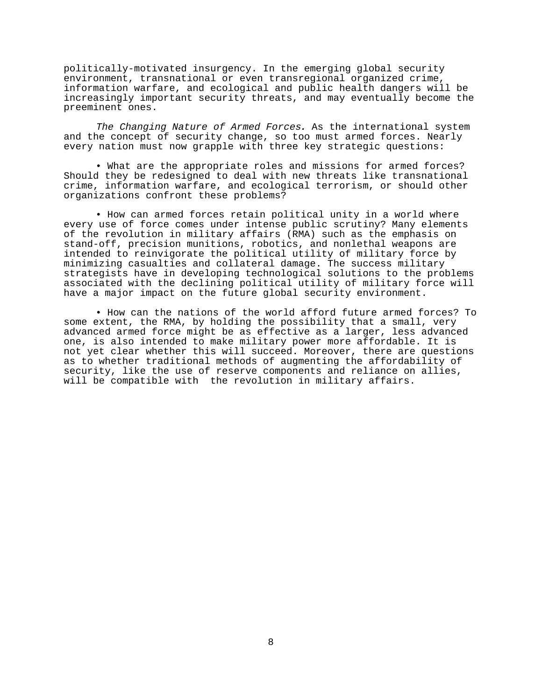politically-motivated insurgency. In the emerging global security environment, transnational or even transregional organized crime, information warfare, and ecological and public health dangers will be increasingly important security threats, and may eventually become the preeminent ones.

The Changing Nature of Armed Forces**.** As the international system and the concept of security change, so too must armed forces. Nearly every nation must now grapple with three key strategic questions:

• What are the appropriate roles and missions for armed forces? Should they be redesigned to deal with new threats like transnational crime, information warfare, and ecological terrorism, or should other organizations confront these problems?

• How can armed forces retain political unity in a world where every use of force comes under intense public scrutiny? Many elements of the revolution in military affairs (RMA) such as the emphasis on stand-off, precision munitions, robotics, and nonlethal weapons are intended to reinvigorate the political utility of military force by minimizing casualties and collateral damage. The success military strategists have in developing technological solutions to the problems associated with the declining political utility of military force will have a major impact on the future global security environment.

• How can the nations of the world afford future armed forces? To some extent, the RMA, by holding the possibility that a small, very advanced armed force might be as effective as a larger, less advanced one, is also intended to make military power more affordable. It is not yet clear whether this will succeed. Moreover, there are questions as to whether traditional methods of augmenting the affordability of security, like the use of reserve components and reliance on allies, will be compatible with the revolution in military affairs.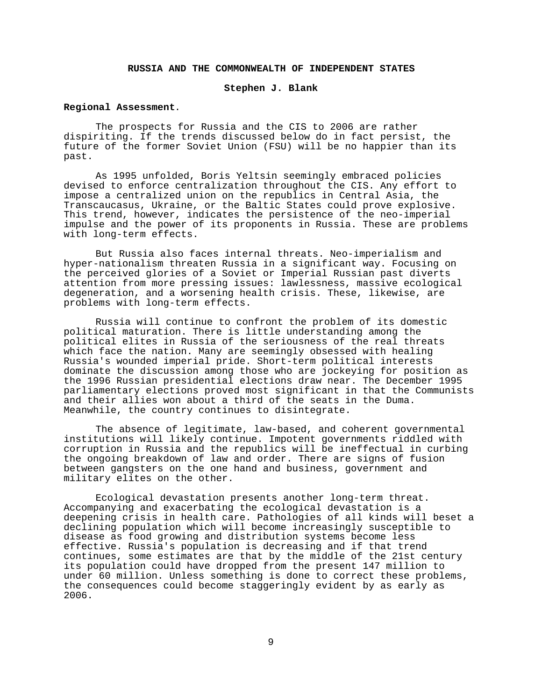# **RUSSIA AND THE COMMONWEALTH OF INDEPENDENT STATES**

### **Stephen J. Blank**

# **Regional Assessment**.

The prospects for Russia and the CIS to 2006 are rather dispiriting. If the trends discussed below do in fact persist, the future of the former Soviet Union (FSU) will be no happier than its past.

As 1995 unfolded, Boris Yeltsin seemingly embraced policies devised to enforce centralization throughout the CIS. Any effort to impose a centralized union on the republics in Central Asia, the Transcaucasus, Ukraine, or the Baltic States could prove explosive. This trend, however, indicates the persistence of the neo-imperial impulse and the power of its proponents in Russia. These are problems with long-term effects.

But Russia also faces internal threats. Neo-imperialism and hyper-nationalism threaten Russia in a significant way. Focusing on the perceived glories of a Soviet or Imperial Russian past diverts attention from more pressing issues: lawlessness, massive ecological degeneration, and a worsening health crisis. These, likewise, are problems with long-term effects.

Russia will continue to confront the problem of its domestic political maturation. There is little understanding among the political elites in Russia of the seriousness of the real threats which face the nation. Many are seemingly obsessed with healing Russia's wounded imperial pride. Short-term political interests dominate the discussion among those who are jockeying for position as the 1996 Russian presidential elections draw near. The December 1995 parliamentary elections proved most significant in that the Communists and their allies won about a third of the seats in the Duma. Meanwhile, the country continues to disintegrate.

The absence of legitimate, law-based, and coherent governmental institutions will likely continue. Impotent governments riddled with corruption in Russia and the republics will be ineffectual in curbing the ongoing breakdown of law and order. There are signs of fusion between gangsters on the one hand and business, government and military elites on the other.

Ecological devastation presents another long-term threat. Accompanying and exacerbating the ecological devastation is a deepening crisis in health care. Pathologies of all kinds will beset a declining population which will become increasingly susceptible to disease as food growing and distribution systems become less effective. Russia's population is decreasing and if that trend continues, some estimates are that by the middle of the 21st century its population could have dropped from the present 147 million to under 60 million. Unless something is done to correct these problems, the consequences could become staggeringly evident by as early as 2006.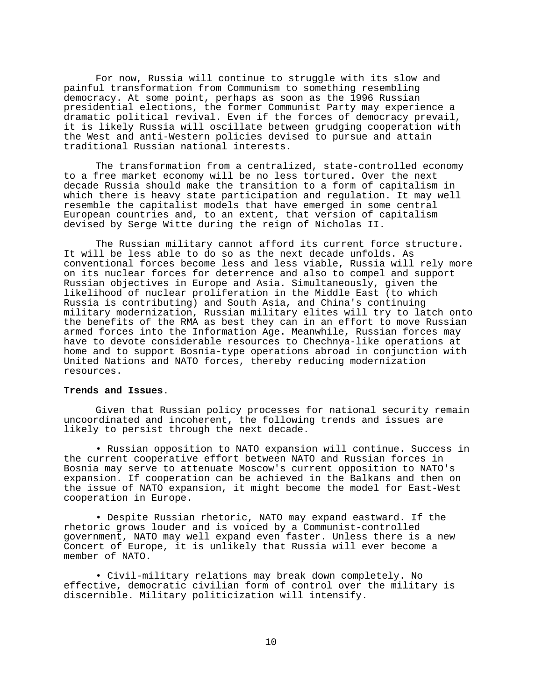For now, Russia will continue to struggle with its slow and painful transformation from Communism to something resembling democracy. At some point, perhaps as soon as the 1996 Russian presidential elections, the former Communist Party may experience a dramatic political revival. Even if the forces of democracy prevail, it is likely Russia will oscillate between grudging cooperation with the West and anti-Western policies devised to pursue and attain traditional Russian national interests.

The transformation from a centralized, state-controlled economy to a free market economy will be no less tortured. Over the next decade Russia should make the transition to a form of capitalism in which there is heavy state participation and regulation. It may well resemble the capitalist models that have emerged in some central European countries and, to an extent, that version of capitalism devised by Serge Witte during the reign of Nicholas II.

The Russian military cannot afford its current force structure. It will be less able to do so as the next decade unfolds. As conventional forces become less and less viable, Russia will rely more on its nuclear forces for deterrence and also to compel and support Russian objectives in Europe and Asia. Simultaneously, given the likelihood of nuclear proliferation in the Middle East (to which Russia is contributing) and South Asia, and China's continuing military modernization, Russian military elites will try to latch onto the benefits of the RMA as best they can in an effort to move Russian armed forces into the Information Age. Meanwhile, Russian forces may have to devote considerable resources to Chechnya-like operations at home and to support Bosnia-type operations abroad in conjunction with United Nations and NATO forces, thereby reducing modernization resources.

### **Trends and Issues**.

Given that Russian policy processes for national security remain uncoordinated and incoherent, the following trends and issues are likely to persist through the next decade.

• Russian opposition to NATO expansion will continue. Success in the current cooperative effort between NATO and Russian forces in Bosnia may serve to attenuate Moscow's current opposition to NATO's expansion. If cooperation can be achieved in the Balkans and then on the issue of NATO expansion, it might become the model for East-West cooperation in Europe.

• Despite Russian rhetoric, NATO may expand eastward. If the rhetoric grows louder and is voiced by a Communist-controlled government, NATO may well expand even faster. Unless there is a new Concert of Europe, it is unlikely that Russia will ever become a member of NATO.

• Civil-military relations may break down completely. No effective, democratic civilian form of control over the military is discernible. Military politicization will intensify.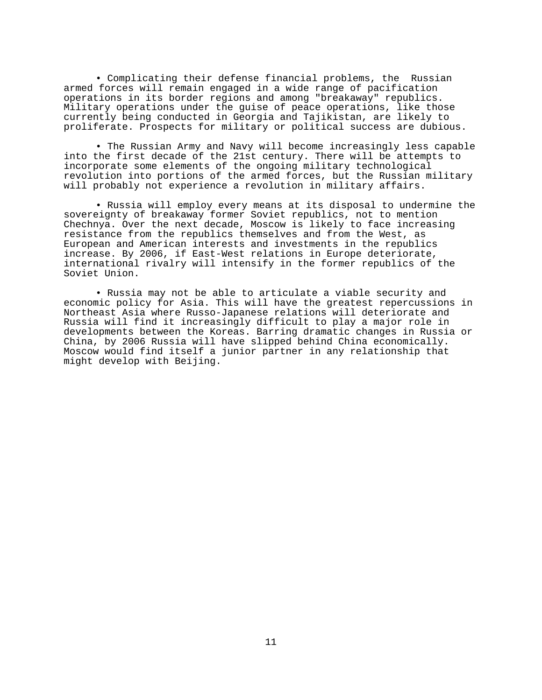• Complicating their defense financial problems, the Russian armed forces will remain engaged in a wide range of pacification operations in its border regions and among "breakaway" republics. Military operations under the guise of peace operations, like those currently being conducted in Georgia and Tajikistan, are likely to proliferate. Prospects for military or political success are dubious.

• The Russian Army and Navy will become increasingly less capable into the first decade of the 21st century. There will be attempts to incorporate some elements of the ongoing military technological revolution into portions of the armed forces, but the Russian military will probably not experience a revolution in military affairs.

• Russia will employ every means at its disposal to undermine the sovereignty of breakaway former Soviet republics, not to mention Chechnya. Over the next decade, Moscow is likely to face increasing resistance from the republics themselves and from the West, as European and American interests and investments in the republics increase. By 2006, if East-West relations in Europe deteriorate, international rivalry will intensify in the former republics of the Soviet Union.

• Russia may not be able to articulate a viable security and economic policy for Asia. This will have the greatest repercussions in Northeast Asia where Russo-Japanese relations will deteriorate and Russia will find it increasingly difficult to play a major role in developments between the Koreas. Barring dramatic changes in Russia or China, by 2006 Russia will have slipped behind China economically. Moscow would find itself a junior partner in any relationship that might develop with Beijing.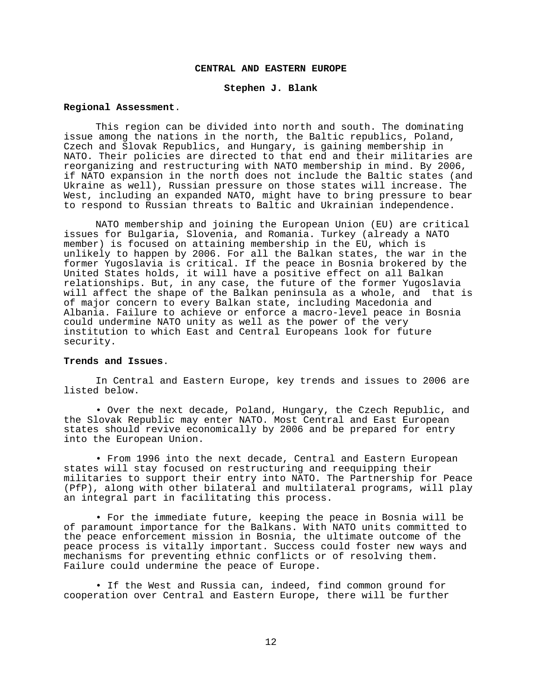### **CENTRAL AND EASTERN EUROPE**

### **Stephen J. Blank**

#### **Regional Assessment**.

This region can be divided into north and south. The dominating issue among the nations in the north, the Baltic republics, Poland, Czech and Slovak Republics, and Hungary, is gaining membership in NATO. Their policies are directed to that end and their militaries are reorganizing and restructuring with NATO membership in mind. By 2006, if NATO expansion in the north does not include the Baltic states (and Ukraine as well), Russian pressure on those states will increase. The West, including an expanded NATO, might have to bring pressure to bear to respond to Russian threats to Baltic and Ukrainian independence.

NATO membership and joining the European Union (EU) are critical issues for Bulgaria, Slovenia, and Romania. Turkey (already a NATO member) is focused on attaining membership in the EU, which is unlikely to happen by 2006. For all the Balkan states, the war in the former Yugoslavia is critical. If the peace in Bosnia brokered by the United States holds, it will have a positive effect on all Balkan relationships. But, in any case, the future of the former Yugoslavia will affect the shape of the Balkan peninsula as a whole, and that is of major concern to every Balkan state, including Macedonia and Albania. Failure to achieve or enforce a macro-level peace in Bosnia could undermine NATO unity as well as the power of the very institution to which East and Central Europeans look for future security.

#### **Trends and Issues**.

In Central and Eastern Europe, key trends and issues to 2006 are listed below.

• Over the next decade, Poland, Hungary, the Czech Republic, and the Slovak Republic may enter NATO. Most Central and East European states should revive economically by 2006 and be prepared for entry into the European Union.

• From 1996 into the next decade, Central and Eastern European states will stay focused on restructuring and reequipping their militaries to support their entry into NATO. The Partnership for Peace (PfP), along with other bilateral and multilateral programs, will play an integral part in facilitating this process.

• For the immediate future, keeping the peace in Bosnia will be of paramount importance for the Balkans. With NATO units committed to the peace enforcement mission in Bosnia, the ultimate outcome of the peace process is vitally important. Success could foster new ways and mechanisms for preventing ethnic conflicts or of resolving them. Failure could undermine the peace of Europe.

• If the West and Russia can, indeed, find common ground for cooperation over Central and Eastern Europe, there will be further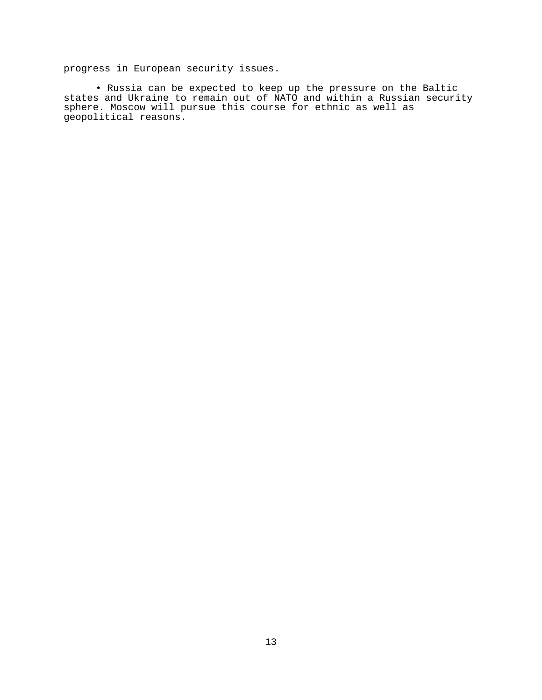progress in European security issues.

• Russia can be expected to keep up the pressure on the Baltic states and Ukraine to remain out of NATO and within a Russian security sphere. Moscow will pursue this course for ethnic as well as geopolitical reasons.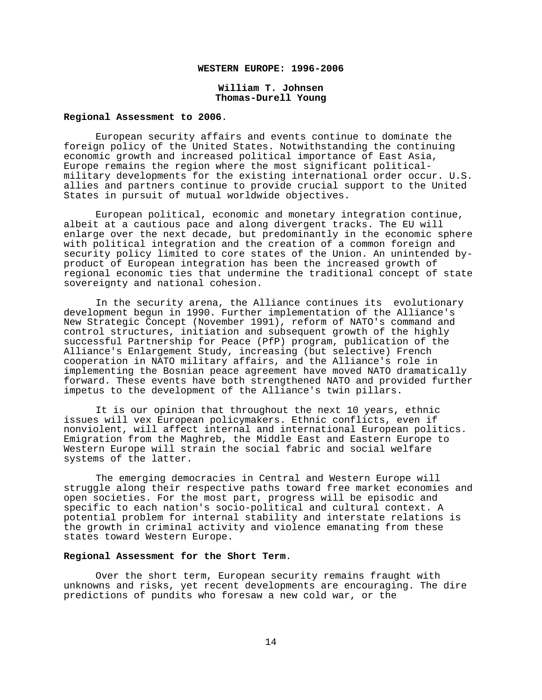### **WESTERN EUROPE: 1996-2006**

### **William T. Johnsen Thomas-Durell Young**

#### **Regional Assessment to 2006**.

European security affairs and events continue to dominate the foreign policy of the United States. Notwithstanding the continuing economic growth and increased political importance of East Asia, Europe remains the region where the most significant politicalmilitary developments for the existing international order occur. U.S. allies and partners continue to provide crucial support to the United States in pursuit of mutual worldwide objectives.

European political, economic and monetary integration continue, albeit at a cautious pace and along divergent tracks. The EU will enlarge over the next decade, but predominantly in the economic sphere with political integration and the creation of a common foreign and security policy limited to core states of the Union. An unintended byproduct of European integration has been the increased growth of regional economic ties that undermine the traditional concept of state sovereignty and national cohesion.

In the security arena, the Alliance continues its evolutionary development begun in 1990. Further implementation of the Alliance's New Strategic Concept (November 1991), reform of NATO's command and control structures, initiation and subsequent growth of the highly successful Partnership for Peace (PfP) program, publication of the Alliance's Enlargement Study, increasing (but selective) French cooperation in NATO military affairs, and the Alliance's role in implementing the Bosnian peace agreement have moved NATO dramatically forward. These events have both strengthened NATO and provided further impetus to the development of the Alliance's twin pillars.

It is our opinion that throughout the next 10 years, ethnic issues will vex European policymakers. Ethnic conflicts, even if nonviolent, will affect internal and international European politics. Emigration from the Maghreb, the Middle East and Eastern Europe to Western Europe will strain the social fabric and social welfare systems of the latter.

The emerging democracies in Central and Western Europe will struggle along their respective paths toward free market economies and open societies. For the most part, progress will be episodic and specific to each nation's socio-political and cultural context. A potential problem for internal stability and interstate relations is the growth in criminal activity and violence emanating from these states toward Western Europe.

### **Regional Assessment for the Short Term**.

Over the short term, European security remains fraught with unknowns and risks, yet recent developments are encouraging. The dire predictions of pundits who foresaw a new cold war, or the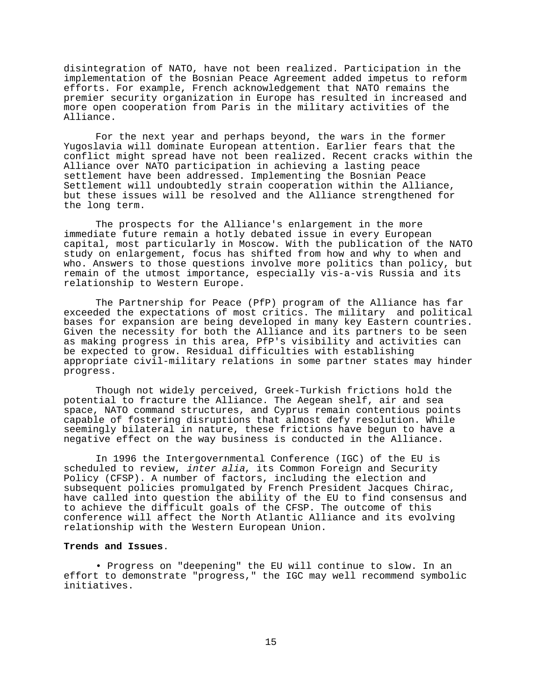disintegration of NATO, have not been realized. Participation in the implementation of the Bosnian Peace Agreement added impetus to reform efforts. For example, French acknowledgement that NATO remains the premier security organization in Europe has resulted in increased and more open cooperation from Paris in the military activities of the Alliance.

For the next year and perhaps beyond, the wars in the former Yugoslavia will dominate European attention. Earlier fears that the conflict might spread have not been realized. Recent cracks within the Alliance over NATO participation in achieving a lasting peace settlement have been addressed. Implementing the Bosnian Peace Settlement will undoubtedly strain cooperation within the Alliance, but these issues will be resolved and the Alliance strengthened for the long term.

The prospects for the Alliance's enlargement in the more immediate future remain a hotly debated issue in every European capital, most particularly in Moscow. With the publication of the NATO study on enlargement, focus has shifted from how and why to when and who. Answers to those questions involve more politics than policy, but remain of the utmost importance, especially vis-a-vis Russia and its relationship to Western Europe.

The Partnership for Peace (PfP) program of the Alliance has far exceeded the expectations of most critics. The military and political bases for expansion are being developed in many key Eastern countries. Given the necessity for both the Alliance and its partners to be seen as making progress in this area, PfP's visibility and activities can be expected to grow. Residual difficulties with establishing appropriate civil-military relations in some partner states may hinder progress.

Though not widely perceived, Greek-Turkish frictions hold the potential to fracture the Alliance. The Aegean shelf, air and sea space, NATO command structures, and Cyprus remain contentious points capable of fostering disruptions that almost defy resolution. While seemingly bilateral in nature, these frictions have begun to have a negative effect on the way business is conducted in the Alliance.

In 1996 the Intergovernmental Conference (IGC) of the EU is scheduled to review, *inter alia*, its Common Foreign and Security Policy (CFSP). A number of factors, including the election and subsequent policies promulgated by French President Jacques Chirac, have called into question the ability of the EU to find consensus and to achieve the difficult goals of the CFSP. The outcome of this conference will affect the North Atlantic Alliance and its evolving relationship with the Western European Union.

# **Trends and Issues**.

• Progress on "deepening" the EU will continue to slow. In an effort to demonstrate "progress," the IGC may well recommend symbolic initiatives.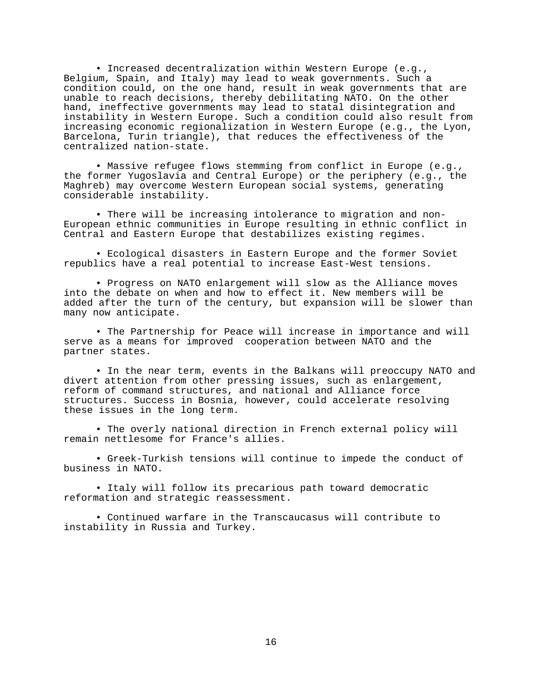• Increased decentralization within Western Europe (e.g., Belgium, Spain, and Italy) may lead to weak governments. Such a condition could, on the one hand, result in weak governments that are unable to reach decisions, thereby debilitating NATO. On the other hand, ineffective governments may lead to statal disintegration and instability in Western Europe. Such a condition could also result from increasing economic regionalization in Western Europe (e.g., the Lyon, Barcelona, Turin triangle), that reduces the effectiveness of the centralized nation-state.

• Massive refugee flows stemming from conflict in Europe (e.g., the former Yugoslavia and Central Europe) or the periphery (e.g., the Maghreb) may overcome Western European social systems, generating considerable instability.

• There will be increasing intolerance to migration and non-European ethnic communities in Europe resulting in ethnic conflict in Central and Eastern Europe that destabilizes existing regimes.

• Ecological disasters in Eastern Europe and the former Soviet republics have a real potential to increase East-West tensions.

• Progress on NATO enlargement will slow as the Alliance moves into the debate on when and how to effect it. New members will be added after the turn of the century, but expansion will be slower than many now anticipate.

• The Partnership for Peace will increase in importance and will serve as a means for improved cooperation between NATO and the partner states.

• In the near term, events in the Balkans will preoccupy NATO and divert attention from other pressing issues, such as enlargement, reform of command structures, and national and Alliance force structures. Success in Bosnia, however, could accelerate resolving these issues in the long term.

• The overly national direction in French external policy will remain nettlesome for France's allies.

• Greek-Turkish tensions will continue to impede the conduct of business in NATO.

• Italy will follow its precarious path toward democratic reformation and strategic reassessment.

• Continued warfare in the Transcaucasus will contribute to instability in Russia and Turkey.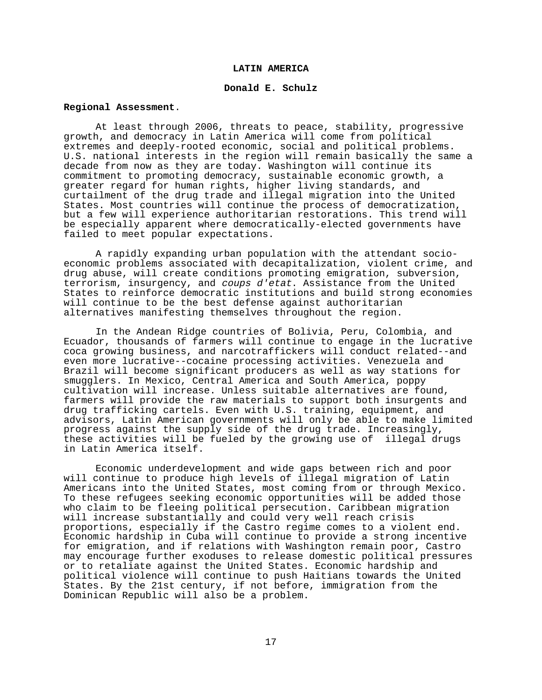### **LATIN AMERICA**

### **Donald E. Schulz**

#### **Regional Assessment**.

At least through 2006, threats to peace, stability, progressive growth, and democracy in Latin America will come from political extremes and deeply-rooted economic, social and political problems. U.S. national interests in the region will remain basically the same a decade from now as they are today. Washington will continue its commitment to promoting democracy, sustainable economic growth, a greater regard for human rights, higher living standards, and curtailment of the drug trade and illegal migration into the United States. Most countries will continue the process of democratization, but a few will experience authoritarian restorations. This trend will be especially apparent where democratically-elected governments have failed to meet popular expectations.

A rapidly expanding urban population with the attendant socioeconomic problems associated with decapitalization, violent crime, and drug abuse, will create conditions promoting emigration, subversion, terrorism, insurgency, and coups d'etat. Assistance from the United States to reinforce democratic institutions and build strong economies will continue to be the best defense against authoritarian alternatives manifesting themselves throughout the region.

In the Andean Ridge countries of Bolivia, Peru, Colombia, and Ecuador, thousands of farmers will continue to engage in the lucrative coca growing business, and narcotraffickers will conduct related--and even more lucrative--cocaine processing activities. Venezuela and Brazil will become significant producers as well as way stations for smugglers. In Mexico, Central America and South America, poppy cultivation will increase. Unless suitable alternatives are found, farmers will provide the raw materials to support both insurgents and drug trafficking cartels. Even with U.S. training, equipment, and advisors, Latin American governments will only be able to make limited progress against the supply side of the drug trade. Increasingly, these activities will be fueled by the growing use of illegal drugs in Latin America itself.

Economic underdevelopment and wide gaps between rich and poor will continue to produce high levels of illegal migration of Latin Americans into the United States, most coming from or through Mexico. To these refugees seeking economic opportunities will be added those who claim to be fleeing political persecution. Caribbean migration will increase substantially and could very well reach crisis proportions, especially if the Castro regime comes to a violent end. Economic hardship in Cuba will continue to provide a strong incentive for emigration, and if relations with Washington remain poor, Castro may encourage further exoduses to release domestic political pressures or to retaliate against the United States. Economic hardship and political violence will continue to push Haitians towards the United States. By the 21st century, if not before, immigration from the Dominican Republic will also be a problem.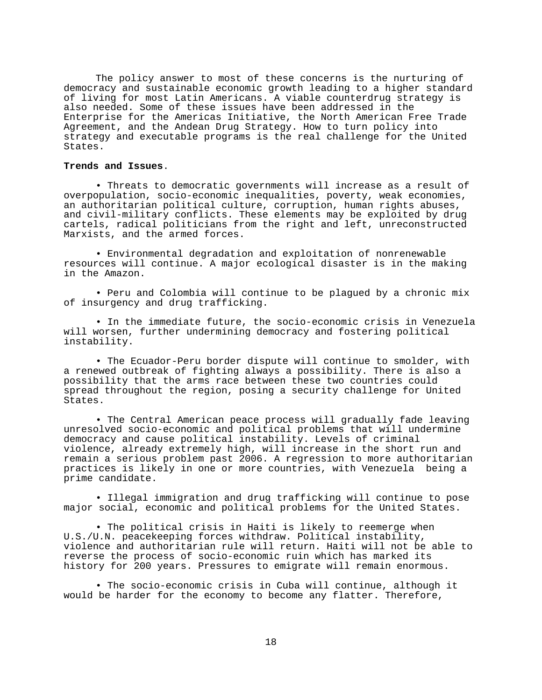The policy answer to most of these concerns is the nurturing of democracy and sustainable economic growth leading to a higher standard of living for most Latin Americans. A viable counterdrug strategy is also needed. Some of these issues have been addressed in the Enterprise for the Americas Initiative, the North American Free Trade Agreement, and the Andean Drug Strategy. How to turn policy into strategy and executable programs is the real challenge for the United States.

### **Trends and Issues**.

• Threats to democratic governments will increase as a result of overpopulation, socio-economic inequalities, poverty, weak economies, an authoritarian political culture, corruption, human rights abuses, and civil-military conflicts. These elements may be exploited by drug cartels, radical politicians from the right and left, unreconstructed Marxists, and the armed forces.

• Environmental degradation and exploitation of nonrenewable resources will continue. A major ecological disaster is in the making in the Amazon.

• Peru and Colombia will continue to be plagued by a chronic mix of insurgency and drug trafficking.

• In the immediate future, the socio-economic crisis in Venezuela will worsen, further undermining democracy and fostering political instability.

• The Ecuador-Peru border dispute will continue to smolder, with a renewed outbreak of fighting always a possibility. There is also a possibility that the arms race between these two countries could spread throughout the region, posing a security challenge for United States.

• The Central American peace process will gradually fade leaving unresolved socio-economic and political problems that will undermine democracy and cause political instability. Levels of criminal violence, already extremely high, will increase in the short run and remain a serious problem past 2006. A regression to more authoritarian practices is likely in one or more countries, with Venezuela being a prime candidate.

• Illegal immigration and drug trafficking will continue to pose major social, economic and political problems for the United States.

• The political crisis in Haiti is likely to reemerge when U.S./U.N. peacekeeping forces withdraw. Political instability, violence and authoritarian rule will return. Haiti will not be able to reverse the process of socio-economic ruin which has marked its history for 200 years. Pressures to emigrate will remain enormous.

• The socio-economic crisis in Cuba will continue, although it would be harder for the economy to become any flatter. Therefore,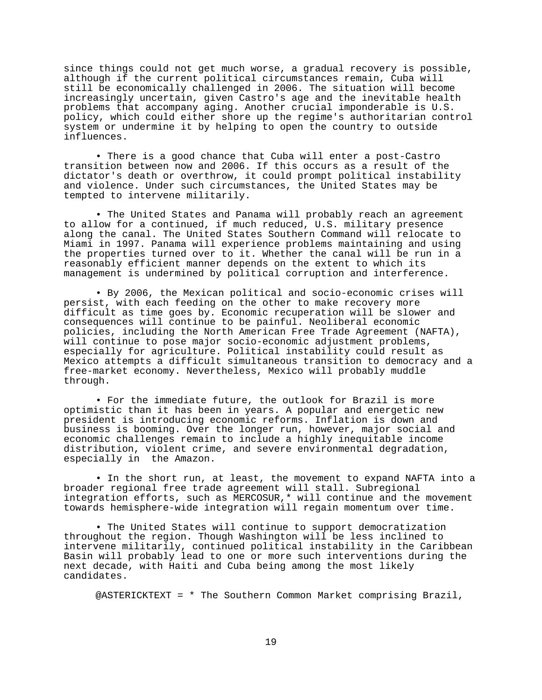since things could not get much worse, a gradual recovery is possible, although if the current political circumstances remain, Cuba will still be economically challenged in 2006. The situation will become increasingly uncertain, given Castro's age and the inevitable health problems that accompany aging. Another crucial imponderable is U.S. policy, which could either shore up the regime's authoritarian control system or undermine it by helping to open the country to outside influences.

• There is a good chance that Cuba will enter a post-Castro transition between now and 2006. If this occurs as a result of the dictator's death or overthrow, it could prompt political instability and violence. Under such circumstances, the United States may be tempted to intervene militarily.

• The United States and Panama will probably reach an agreement to allow for a continued, if much reduced, U.S. military presence along the canal. The United States Southern Command will relocate to Miami in 1997. Panama will experience problems maintaining and using the properties turned over to it. Whether the canal will be run in a reasonably efficient manner depends on the extent to which its management is undermined by political corruption and interference.

• By 2006, the Mexican political and socio-economic crises will persist, with each feeding on the other to make recovery more difficult as time goes by. Economic recuperation will be slower and consequences will continue to be painful. Neoliberal economic policies, including the North American Free Trade Agreement (NAFTA), will continue to pose major socio-economic adjustment problems, especially for agriculture. Political instability could result as Mexico attempts a difficult simultaneous transition to democracy and a free-market economy. Nevertheless, Mexico will probably muddle through.

• For the immediate future, the outlook for Brazil is more optimistic than it has been in years. A popular and energetic new president is introducing economic reforms. Inflation is down and business is booming. Over the longer run, however, major social and economic challenges remain to include a highly inequitable income distribution, violent crime, and severe environmental degradation, especially in the Amazon.

• In the short run, at least, the movement to expand NAFTA into a broader regional free trade agreement will stall. Subregional integration efforts, such as MERCOSUR,\* will continue and the movement towards hemisphere-wide integration will regain momentum over time.

• The United States will continue to support democratization throughout the region. Though Washington will be less inclined to intervene militarily, continued political instability in the Caribbean Basin will probably lead to one or more such interventions during the next decade, with Haiti and Cuba being among the most likely candidates.

@ASTERICKTEXT = \* The Southern Common Market comprising Brazil,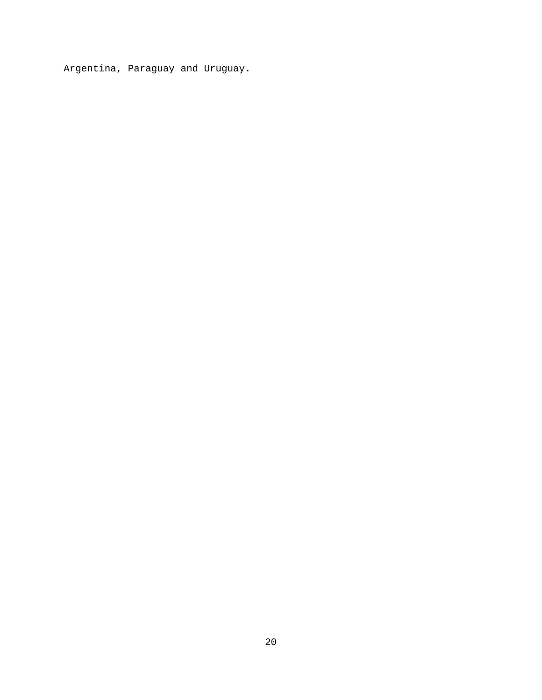Argentina, Paraguay and Uruguay.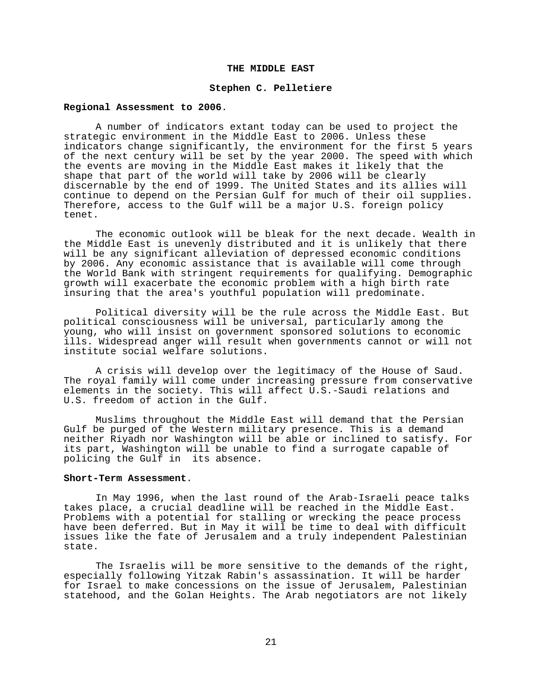### **THE MIDDLE EAST**

#### **Stephen C. Pelletiere**

### **Regional Assessment to 2006**.

A number of indicators extant today can be used to project the strategic environment in the Middle East to 2006. Unless these indicators change significantly, the environment for the first 5 years of the next century will be set by the year 2000. The speed with which the events are moving in the Middle East makes it likely that the shape that part of the world will take by 2006 will be clearly discernable by the end of 1999. The United States and its allies will continue to depend on the Persian Gulf for much of their oil supplies. Therefore, access to the Gulf will be a major U.S. foreign policy tenet.

The economic outlook will be bleak for the next decade. Wealth in the Middle East is unevenly distributed and it is unlikely that there will be any significant alleviation of depressed economic conditions by 2006. Any economic assistance that is available will come through the World Bank with stringent requirements for qualifying. Demographic growth will exacerbate the economic problem with a high birth rate insuring that the area's youthful population will predominate.

Political diversity will be the rule across the Middle East. But political consciousness will be universal, particularly among the young, who will insist on government sponsored solutions to economic ills. Widespread anger will result when governments cannot or will not institute social welfare solutions.

A crisis will develop over the legitimacy of the House of Saud. The royal family will come under increasing pressure from conservative elements in the society. This will affect U.S.-Saudi relations and U.S. freedom of action in the Gulf.

Muslims throughout the Middle East will demand that the Persian Gulf be purged of the Western military presence. This is a demand neither Riyadh nor Washington will be able or inclined to satisfy. For its part, Washington will be unable to find a surrogate capable of policing the Gulf in its absence.

#### **Short-Term Assessment**.

In May 1996, when the last round of the Arab-Israeli peace talks takes place, a crucial deadline will be reached in the Middle East. Problems with a potential for stalling or wrecking the peace process have been deferred. But in May it will be time to deal with difficult issues like the fate of Jerusalem and a truly independent Palestinian state.

The Israelis will be more sensitive to the demands of the right, especially following Yitzak Rabin's assassination. It will be harder for Israel to make concessions on the issue of Jerusalem, Palestinian statehood, and the Golan Heights. The Arab negotiators are not likely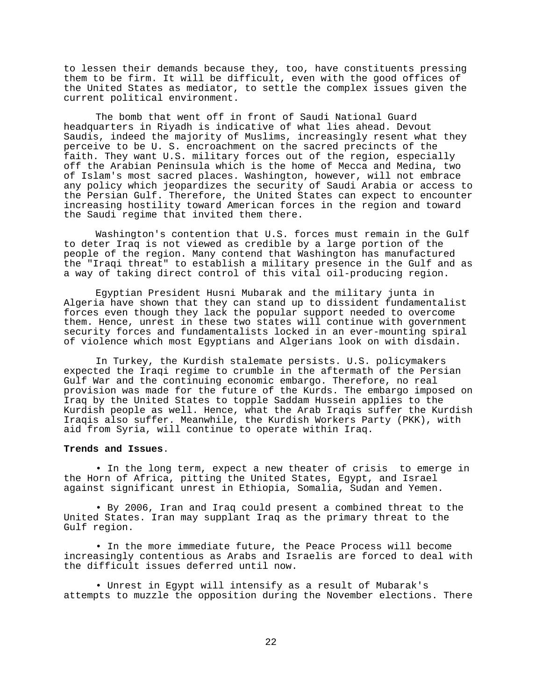to lessen their demands because they, too, have constituents pressing them to be firm. It will be difficult, even with the good offices of the United States as mediator, to settle the complex issues given the current political environment.

The bomb that went off in front of Saudi National Guard headquarters in Riyadh is indicative of what lies ahead. Devout Saudis, indeed the majority of Muslims, increasingly resent what they perceive to be U. S. encroachment on the sacred precincts of the faith. They want U.S. military forces out of the region, especially off the Arabian Peninsula which is the home of Mecca and Medina, two of Islam's most sacred places. Washington, however, will not embrace any policy which jeopardizes the security of Saudi Arabia or access to the Persian Gulf. Therefore, the United States can expect to encounter increasing hostility toward American forces in the region and toward the Saudi regime that invited them there.

Washington's contention that U.S. forces must remain in the Gulf to deter Iraq is not viewed as credible by a large portion of the people of the region. Many contend that Washington has manufactured the "Iraqi threat" to establish a military presence in the Gulf and as a way of taking direct control of this vital oil-producing region.

Egyptian President Husni Mubarak and the military junta in Algeria have shown that they can stand up to dissident fundamentalist forces even though they lack the popular support needed to overcome them. Hence, unrest in these two states will continue with government security forces and fundamentalists locked in an ever-mounting spiral of violence which most Egyptians and Algerians look on with disdain.

In Turkey, the Kurdish stalemate persists. U.S. policymakers expected the Iraqi regime to crumble in the aftermath of the Persian Gulf War and the continuing economic embargo. Therefore, no real provision was made for the future of the Kurds. The embargo imposed on Iraq by the United States to topple Saddam Hussein applies to the Kurdish people as well. Hence, what the Arab Iraqis suffer the Kurdish Iraqis also suffer. Meanwhile, the Kurdish Workers Party (PKK), with aid from Syria, will continue to operate within Iraq.

# **Trends and Issues**.

• In the long term, expect a new theater of crisis to emerge in the Horn of Africa, pitting the United States, Egypt, and Israel against significant unrest in Ethiopia, Somalia, Sudan and Yemen.

• By 2006, Iran and Iraq could present a combined threat to the United States. Iran may supplant Iraq as the primary threat to the Gulf region.

• In the more immediate future, the Peace Process will become increasingly contentious as Arabs and Israelis are forced to deal with the difficult issues deferred until now.

• Unrest in Egypt will intensify as a result of Mubarak's attempts to muzzle the opposition during the November elections. There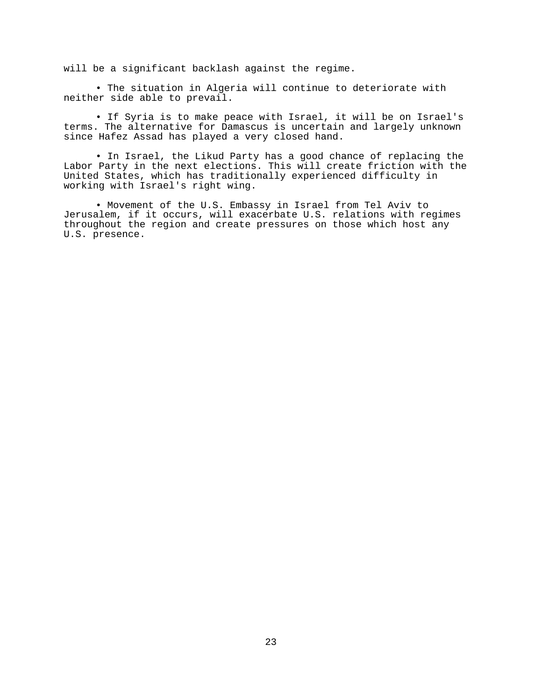will be a significant backlash against the regime.

• The situation in Algeria will continue to deteriorate with neither side able to prevail.

• If Syria is to make peace with Israel, it will be on Israel's terms. The alternative for Damascus is uncertain and largely unknown since Hafez Assad has played a very closed hand.

• In Israel, the Likud Party has a good chance of replacing the Labor Party in the next elections. This will create friction with the United States, which has traditionally experienced difficulty in working with Israel's right wing.

• Movement of the U.S. Embassy in Israel from Tel Aviv to Jerusalem, if it occurs, will exacerbate U.S. relations with regimes throughout the region and create pressures on those which host any U.S. presence.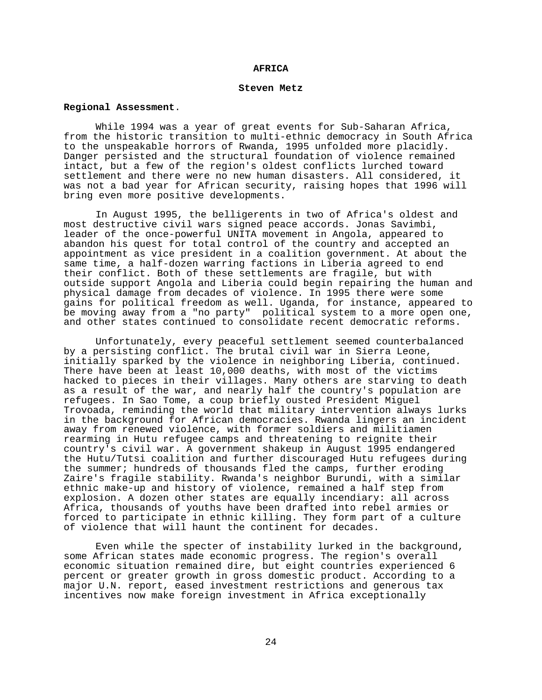#### **AFRICA**

#### **Steven Metz**

### **Regional Assessment**.

While 1994 was a year of great events for Sub-Saharan Africa, from the historic transition to multi-ethnic democracy in South Africa to the unspeakable horrors of Rwanda, 1995 unfolded more placidly. Danger persisted and the structural foundation of violence remained intact, but a few of the region's oldest conflicts lurched toward settlement and there were no new human disasters. All considered, it was not a bad year for African security, raising hopes that 1996 will bring even more positive developments.

In August 1995, the belligerents in two of Africa's oldest and most destructive civil wars signed peace accords. Jonas Savimbi, leader of the once-powerful UNITA movement in Angola, appeared to abandon his quest for total control of the country and accepted an appointment as vice president in a coalition government. At about the same time, a half-dozen warring factions in Liberia agreed to end their conflict. Both of these settlements are fragile, but with outside support Angola and Liberia could begin repairing the human and physical damage from decades of violence. In 1995 there were some gains for political freedom as well. Uganda, for instance, appeared to be moving away from a "no party" political system to a more open one, and other states continued to consolidate recent democratic reforms.

Unfortunately, every peaceful settlement seemed counterbalanced by a persisting conflict. The brutal civil war in Sierra Leone, initially sparked by the violence in neighboring Liberia, continued. There have been at least 10,000 deaths, with most of the victims hacked to pieces in their villages. Many others are starving to death as a result of the war, and nearly half the country's population are refugees. In Sao Tome, a coup briefly ousted President Miguel Trovoada, reminding the world that military intervention always lurks in the background for African democracies. Rwanda lingers an incident away from renewed violence, with former soldiers and militiamen rearming in Hutu refugee camps and threatening to reignite their country's civil war. A government shakeup in August 1995 endangered the Hutu/Tutsi coalition and further discouraged Hutu refugees during the summer; hundreds of thousands fled the camps, further eroding Zaire's fragile stability. Rwanda's neighbor Burundi, with a similar ethnic make-up and history of violence, remained a half step from explosion. A dozen other states are equally incendiary: all across Africa, thousands of youths have been drafted into rebel armies or forced to participate in ethnic killing. They form part of a culture of violence that will haunt the continent for decades.

Even while the specter of instability lurked in the background, some African states made economic progress. The region's overall economic situation remained dire, but eight countries experienced 6 percent or greater growth in gross domestic product. According to a major U.N. report, eased investment restrictions and generous tax incentives now make foreign investment in Africa exceptionally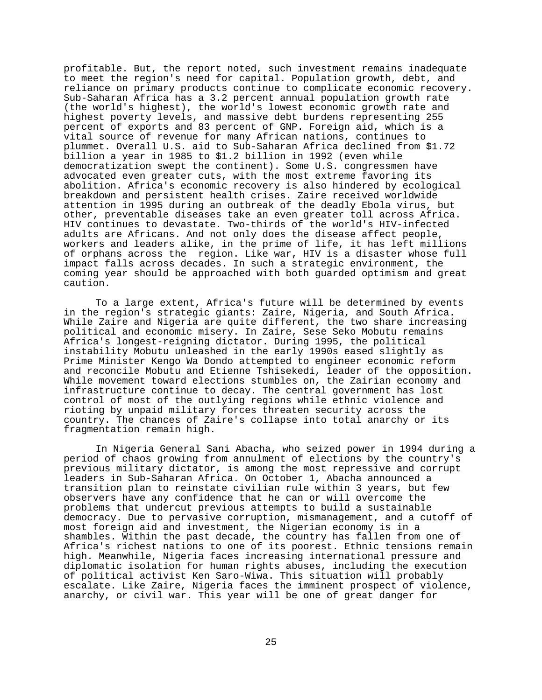profitable. But, the report noted, such investment remains inadequate to meet the region's need for capital. Population growth, debt, and reliance on primary products continue to complicate economic recovery. Sub-Saharan Africa has a 3.2 percent annual population growth rate (the world's highest), the world's lowest economic growth rate and highest poverty levels, and massive debt burdens representing 255 percent of exports and 83 percent of GNP. Foreign aid, which is a vital source of revenue for many African nations, continues to plummet. Overall U.S. aid to Sub-Saharan Africa declined from \$1.72 billion a year in 1985 to \$1.2 billion in 1992 (even while democratization swept the continent). Some U.S. congressmen have advocated even greater cuts, with the most extreme favoring its abolition. Africa's economic recovery is also hindered by ecological breakdown and persistent health crises. Zaire received worldwide attention in 1995 during an outbreak of the deadly Ebola virus, but other, preventable diseases take an even greater toll across Africa. HIV continues to devastate. Two-thirds of the world's HIV-infected adults are Africans. And not only does the disease affect people, workers and leaders alike, in the prime of life, it has left millions of orphans across the region. Like war, HIV is a disaster whose full impact falls across decades. In such a strategic environment, the coming year should be approached with both guarded optimism and great caution.

To a large extent, Africa's future will be determined by events in the region's strategic giants: Zaire, Nigeria, and South Africa. While Zaire and Nigeria are quite different, the two share increasing political and economic misery. In Zaire, Sese Seko Mobutu remains Africa's longest-reigning dictator. During 1995, the political instability Mobutu unleashed in the early 1990s eased slightly as Prime Minister Kengo Wa Dondo attempted to engineer economic reform and reconcile Mobutu and Etienne Tshisekedi, leader of the opposition. While movement toward elections stumbles on, the Zairian economy and infrastructure continue to decay. The central government has lost control of most of the outlying regions while ethnic violence and rioting by unpaid military forces threaten security across the country. The chances of Zaire's collapse into total anarchy or its fragmentation remain high.

In Nigeria General Sani Abacha, who seized power in 1994 during a period of chaos growing from annulment of elections by the country's previous military dictator, is among the most repressive and corrupt leaders in Sub-Saharan Africa. On October 1, Abacha announced a transition plan to reinstate civilian rule within 3 years, but few observers have any confidence that he can or will overcome the problems that undercut previous attempts to build a sustainable democracy. Due to pervasive corruption, mismanagement, and a cutoff of most foreign aid and investment, the Nigerian economy is in a shambles. Within the past decade, the country has fallen from one of Africa's richest nations to one of its poorest. Ethnic tensions remain high. Meanwhile, Nigeria faces increasing international pressure and diplomatic isolation for human rights abuses, including the execution of political activist Ken Saro-Wiwa. This situation will probably escalate. Like Zaire, Nigeria faces the imminent prospect of violence, anarchy, or civil war. This year will be one of great danger for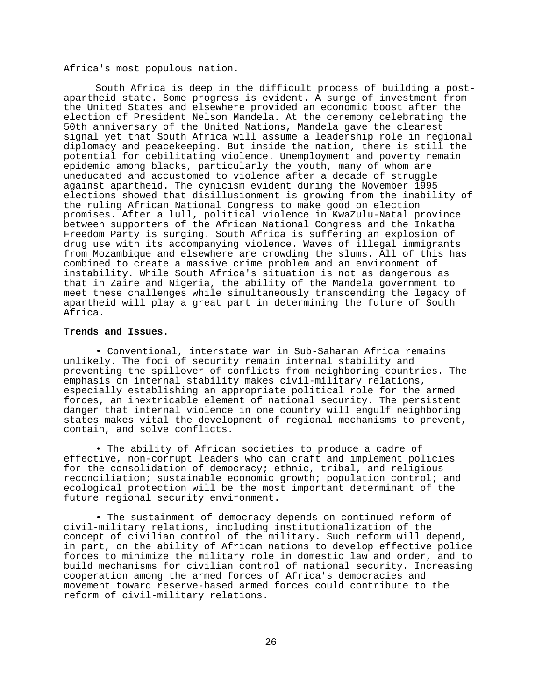Africa's most populous nation.

South Africa is deep in the difficult process of building a postapartheid state. Some progress is evident. A surge of investment from the United States and elsewhere provided an economic boost after the election of President Nelson Mandela. At the ceremony celebrating the 50th anniversary of the United Nations, Mandela gave the clearest signal yet that South Africa will assume a leadership role in regional diplomacy and peacekeeping. But inside the nation, there is still the potential for debilitating violence. Unemployment and poverty remain epidemic among blacks, particularly the youth, many of whom are uneducated and accustomed to violence after a decade of struggle against apartheid. The cynicism evident during the November 1995 elections showed that disillusionment is growing from the inability of the ruling African National Congress to make good on election promises. After a lull, political violence in KwaZulu-Natal province between supporters of the African National Congress and the Inkatha Freedom Party is surging. South Africa is suffering an explosion of drug use with its accompanying violence. Waves of illegal immigrants from Mozambique and elsewhere are crowding the slums. All of this has combined to create a massive crime problem and an environment of instability. While South Africa's situation is not as dangerous as that in Zaire and Nigeria, the ability of the Mandela government to meet these challenges while simultaneously transcending the legacy of apartheid will play a great part in determining the future of South Africa.

### **Trends and Issues**.

• Conventional, interstate war in Sub-Saharan Africa remains unlikely. The foci of security remain internal stability and preventing the spillover of conflicts from neighboring countries. The emphasis on internal stability makes civil-military relations, especially establishing an appropriate political role for the armed forces, an inextricable element of national security. The persistent danger that internal violence in one country will engulf neighboring states makes vital the development of regional mechanisms to prevent, contain, and solve conflicts.

• The ability of African societies to produce a cadre of effective, non-corrupt leaders who can craft and implement policies for the consolidation of democracy; ethnic, tribal, and religious reconciliation; sustainable economic growth; population control; and ecological protection will be the most important determinant of the future regional security environment.

• The sustainment of democracy depends on continued reform of civil-military relations, including institutionalization of the concept of civilian control of the military. Such reform will depend, in part, on the ability of African nations to develop effective police forces to minimize the military role in domestic law and order, and to build mechanisms for civilian control of national security. Increasing cooperation among the armed forces of Africa's democracies and movement toward reserve-based armed forces could contribute to the reform of civil-military relations.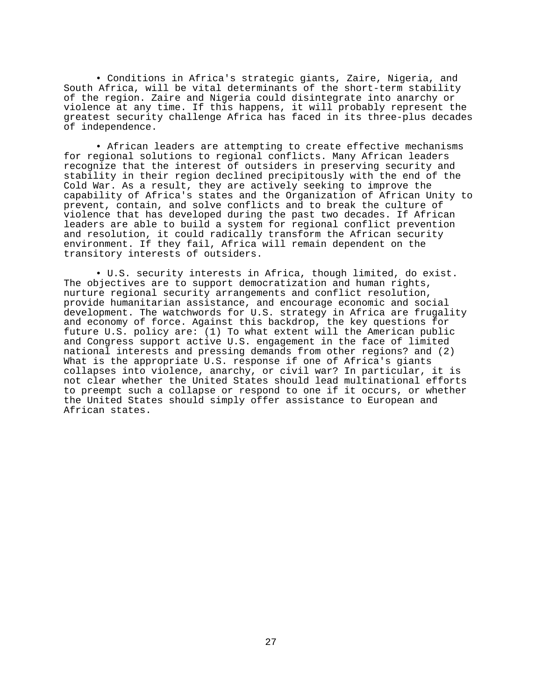• Conditions in Africa's strategic giants, Zaire, Nigeria, and South Africa, will be vital determinants of the short-term stability of the region. Zaire and Nigeria could disintegrate into anarchy or violence at any time. If this happens, it will probably represent the greatest security challenge Africa has faced in its three-plus decades of independence.

• African leaders are attempting to create effective mechanisms for regional solutions to regional conflicts. Many African leaders recognize that the interest of outsiders in preserving security and stability in their region declined precipitously with the end of the Cold War. As a result, they are actively seeking to improve the capability of Africa's states and the Organization of African Unity to prevent, contain, and solve conflicts and to break the culture of violence that has developed during the past two decades. If African leaders are able to build a system for regional conflict prevention and resolution, it could radically transform the African security environment. If they fail, Africa will remain dependent on the transitory interests of outsiders.

• U.S. security interests in Africa, though limited, do exist. The objectives are to support democratization and human rights, nurture regional security arrangements and conflict resolution, provide humanitarian assistance, and encourage economic and social development. The watchwords for U.S. strategy in Africa are frugality and economy of force. Against this backdrop, the key questions for future U.S. policy are: (1) To what extent will the American public and Congress support active U.S. engagement in the face of limited national interests and pressing demands from other regions? and (2) What is the appropriate U.S. response if one of Africa's giants collapses into violence, anarchy, or civil war? In particular, it is not clear whether the United States should lead multinational efforts to preempt such a collapse or respond to one if it occurs, or whether the United States should simply offer assistance to European and African states.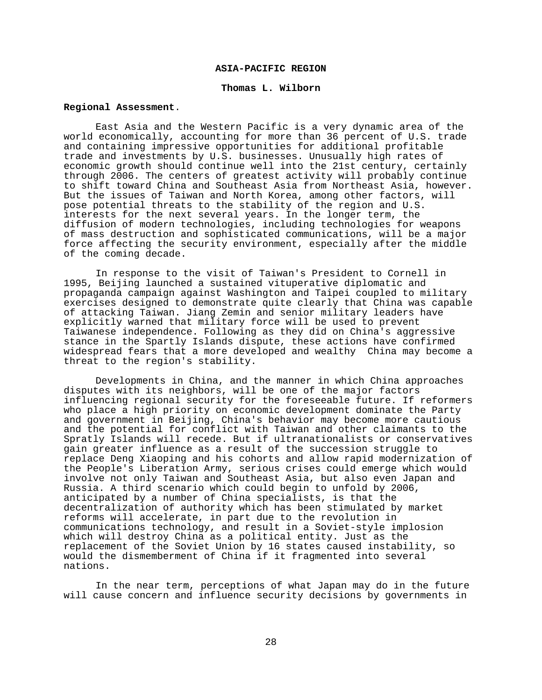### **ASIA-PACIFIC REGION**

#### **Thomas L. Wilborn**

### **Regional Assessment**.

East Asia and the Western Pacific is a very dynamic area of the world economically, accounting for more than 36 percent of U.S. trade and containing impressive opportunities for additional profitable trade and investments by U.S. businesses. Unusually high rates of economic growth should continue well into the 21st century, certainly through 2006. The centers of greatest activity will probably continue to shift toward China and Southeast Asia from Northeast Asia, however. But the issues of Taiwan and North Korea, among other factors, will pose potential threats to the stability of the region and U.S. interests for the next several years. In the longer term, the diffusion of modern technologies, including technologies for weapons of mass destruction and sophisticated communications, will be a major force affecting the security environment, especially after the middle of the coming decade.

In response to the visit of Taiwan's President to Cornell in 1995, Beijing launched a sustained vituperative diplomatic and propaganda campaign against Washington and Taipei coupled to military exercises designed to demonstrate quite clearly that China was capable of attacking Taiwan. Jiang Zemin and senior military leaders have explicitly warned that military force will be used to prevent Taiwanese independence. Following as they did on China's aggressive stance in the Spartly Islands dispute, these actions have confirmed widespread fears that a more developed and wealthy China may become a threat to the region's stability.

Developments in China, and the manner in which China approaches disputes with its neighbors, will be one of the major factors influencing regional security for the foreseeable future. If reformers who place a high priority on economic development dominate the Party and government in Beijing, China's behavior may become more cautious and the potential for conflict with Taiwan and other claimants to the Spratly Islands will recede. But if ultranationalists or conservatives gain greater influence as a result of the succession struggle to replace Deng Xiaoping and his cohorts and allow rapid modernization of the People's Liberation Army, serious crises could emerge which would involve not only Taiwan and Southeast Asia, but also even Japan and Russia. A third scenario which could begin to unfold by 2006, anticipated by a number of China specialists, is that the decentralization of authority which has been stimulated by market reforms will accelerate, in part due to the revolution in communications technology, and result in a Soviet-style implosion which will destroy China as a political entity. Just as the replacement of the Soviet Union by 16 states caused instability, so would the dismemberment of China if it fragmented into several nations.

In the near term, perceptions of what Japan may do in the future will cause concern and influence security decisions by governments in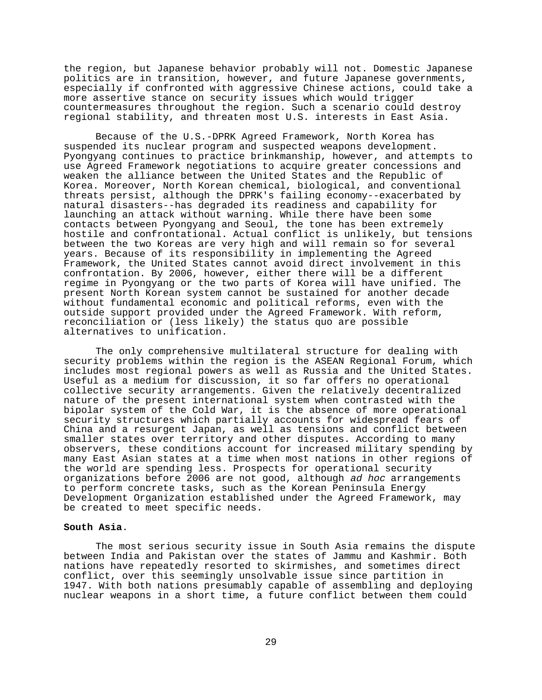the region, but Japanese behavior probably will not. Domestic Japanese politics are in transition, however, and future Japanese governments, especially if confronted with aggressive Chinese actions, could take a more assertive stance on security issues which would trigger countermeasures throughout the region. Such a scenario could destroy regional stability, and threaten most U.S. interests in East Asia.

Because of the U.S.-DPRK Agreed Framework, North Korea has suspended its nuclear program and suspected weapons development. Pyongyang continues to practice brinkmanship, however, and attempts to use Agreed Framework negotiations to acquire greater concessions and weaken the alliance between the United States and the Republic of Korea. Moreover, North Korean chemical, biological, and conventional threats persist, although the DPRK's failing economy--exacerbated by natural disasters--has degraded its readiness and capability for launching an attack without warning. While there have been some contacts between Pyongyang and Seoul, the tone has been extremely hostile and confrontational. Actual conflict is unlikely, but tensions between the two Koreas are very high and will remain so for several years. Because of its responsibility in implementing the Agreed Framework, the United States cannot avoid direct involvement in this confrontation. By 2006, however, either there will be a different regime in Pyongyang or the two parts of Korea will have unified. The present North Korean system cannot be sustained for another decade without fundamental economic and political reforms, even with the outside support provided under the Agreed Framework. With reform, reconciliation or (less likely) the status quo are possible alternatives to unification.

The only comprehensive multilateral structure for dealing with security problems within the region is the ASEAN Regional Forum, which includes most regional powers as well as Russia and the United States. Useful as a medium for discussion, it so far offers no operational collective security arrangements. Given the relatively decentralized nature of the present international system when contrasted with the bipolar system of the Cold War, it is the absence of more operational security structures which partially accounts for widespread fears of China and a resurgent Japan, as well as tensions and conflict between smaller states over territory and other disputes. According to many observers, these conditions account for increased military spending by many East Asian states at a time when most nations in other regions of the world are spending less. Prospects for operational security organizations before 2006 are not good, although ad hoc arrangements to perform concrete tasks, such as the Korean Peninsula Energy Development Organization established under the Agreed Framework, may be created to meet specific needs.

#### **South Asia**.

The most serious security issue in South Asia remains the dispute between India and Pakistan over the states of Jammu and Kashmir. Both nations have repeatedly resorted to skirmishes, and sometimes direct conflict, over this seemingly unsolvable issue since partition in 1947. With both nations presumably capable of assembling and deploying nuclear weapons in a short time, a future conflict between them could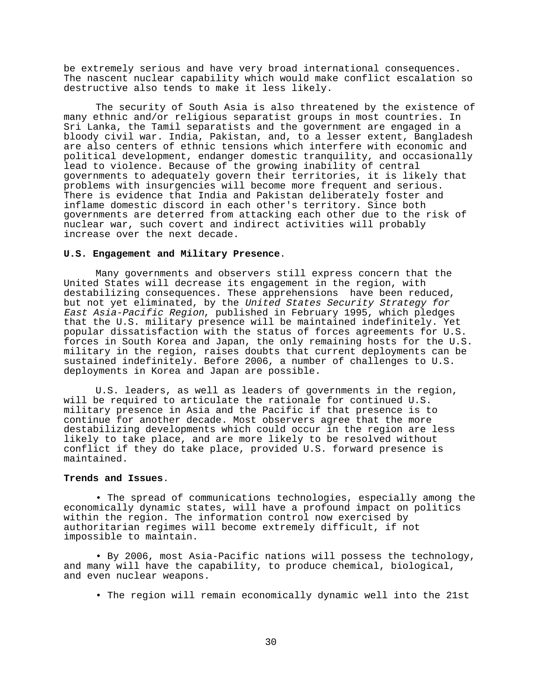be extremely serious and have very broad international consequences. The nascent nuclear capability which would make conflict escalation so destructive also tends to make it less likely.

The security of South Asia is also threatened by the existence of many ethnic and/or religious separatist groups in most countries. In Sri Lanka, the Tamil separatists and the government are engaged in a bloody civil war. India, Pakistan, and, to a lesser extent, Bangladesh are also centers of ethnic tensions which interfere with economic and political development, endanger domestic tranquility, and occasionally lead to violence. Because of the growing inability of central governments to adequately govern their territories, it is likely that problems with insurgencies will become more frequent and serious. There is evidence that India and Pakistan deliberately foster and inflame domestic discord in each other's territory. Since both governments are deterred from attacking each other due to the risk of nuclear war, such covert and indirect activities will probably increase over the next decade.

### **U.S. Engagement and Military Presence**.

Many governments and observers still express concern that the United States will decrease its engagement in the region, with destabilizing consequences. These apprehensions have been reduced, but not yet eliminated, by the United States Security Strategy for East Asia-Pacific Region, published in February 1995, which pledges that the U.S. military presence will be maintained indefinitely. Yet popular dissatisfaction with the status of forces agreements for U.S. forces in South Korea and Japan, the only remaining hosts for the U.S. military in the region, raises doubts that current deployments can be sustained indefinitely. Before 2006, a number of challenges to U.S. deployments in Korea and Japan are possible.

U.S. leaders, as well as leaders of governments in the region, will be required to articulate the rationale for continued U.S. military presence in Asia and the Pacific if that presence is to continue for another decade. Most observers agree that the more destabilizing developments which could occur in the region are less likely to take place, and are more likely to be resolved without conflict if they do take place, provided U.S. forward presence is maintained.

#### **Trends and Issues**.

• The spread of communications technologies, especially among the economically dynamic states, will have a profound impact on politics within the region. The information control now exercised by authoritarian regimes will become extremely difficult, if not impossible to maintain.

• By 2006, most Asia-Pacific nations will possess the technology, and many will have the capability, to produce chemical, biological, and even nuclear weapons.

• The region will remain economically dynamic well into the 21st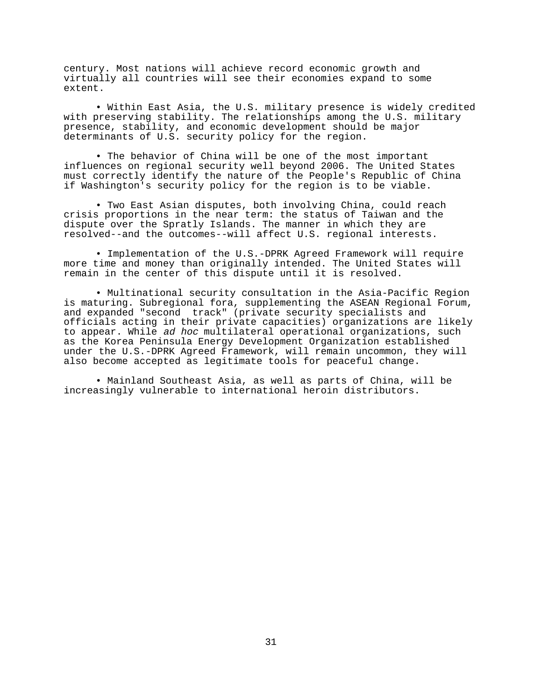century. Most nations will achieve record economic growth and virtually all countries will see their economies expand to some extent.

• Within East Asia, the U.S. military presence is widely credited with preserving stability. The relationships among the U.S. military presence, stability, and economic development should be major determinants of U.S. security policy for the region.

• The behavior of China will be one of the most important influences on regional security well beyond 2006. The United States must correctly identify the nature of the People's Republic of China if Washington's security policy for the region is to be viable.

• Two East Asian disputes, both involving China, could reach crisis proportions in the near term: the status of Taiwan and the dispute over the Spratly Islands. The manner in which they are resolved--and the outcomes--will affect U.S. regional interests.

• Implementation of the U.S.-DPRK Agreed Framework will require more time and money than originally intended. The United States will remain in the center of this dispute until it is resolved.

• Multinational security consultation in the Asia-Pacific Region is maturing. Subregional fora, supplementing the ASEAN Regional Forum, and expanded "second track" (private security specialists and officials acting in their private capacities) organizations are likely to appear. While ad hoc multilateral operational organizations, such as the Korea Peninsula Energy Development Organization established under the U.S.-DPRK Agreed Framework, will remain uncommon, they will also become accepted as legitimate tools for peaceful change.

• Mainland Southeast Asia, as well as parts of China, will be increasingly vulnerable to international heroin distributors.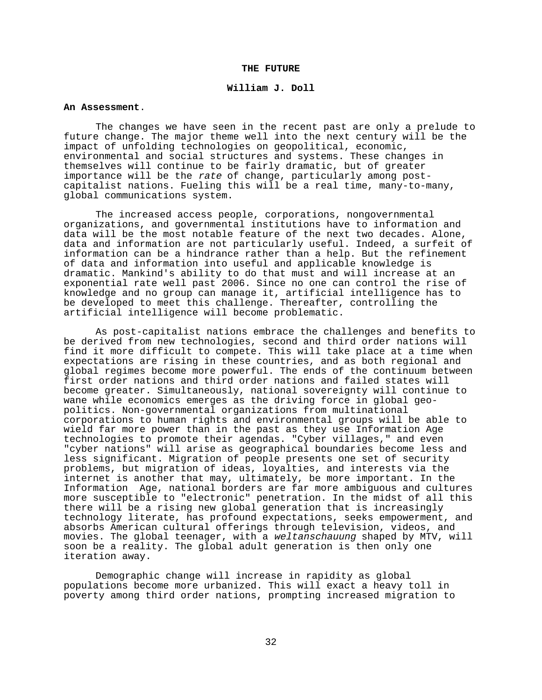### **THE FUTURE**

### **William J. Doll**

### **An Assessment**.

The changes we have seen in the recent past are only a prelude to future change. The major theme well into the next century will be the impact of unfolding technologies on geopolitical, economic, environmental and social structures and systems. These changes in themselves will continue to be fairly dramatic, but of greater importance will be the rate of change, particularly among postcapitalist nations. Fueling this will be a real time, many-to-many, global communications system.

The increased access people, corporations, nongovernmental organizations, and governmental institutions have to information and data will be the most notable feature of the next two decades. Alone, data and information are not particularly useful. Indeed, a surfeit of information can be a hindrance rather than a help. But the refinement of data and information into useful and applicable knowledge is dramatic. Mankind's ability to do that must and will increase at an exponential rate well past 2006. Since no one can control the rise of knowledge and no group can manage it, artificial intelligence has to be developed to meet this challenge. Thereafter, controlling the artificial intelligence will become problematic.

As post-capitalist nations embrace the challenges and benefits to be derived from new technologies, second and third order nations will find it more difficult to compete. This will take place at a time when expectations are rising in these countries, and as both regional and global regimes become more powerful. The ends of the continuum between first order nations and third order nations and failed states will become greater. Simultaneously, national sovereignty will continue to wane while economics emerges as the driving force in global geopolitics. Non-governmental organizations from multinational corporations to human rights and environmental groups will be able to wield far more power than in the past as they use Information Age technologies to promote their agendas. "Cyber villages," and even "cyber nations" will arise as geographical boundaries become less and less significant. Migration of people presents one set of security problems, but migration of ideas, loyalties, and interests via the internet is another that may, ultimately, be more important. In the Information Age, national borders are far more ambiguous and cultures more susceptible to "electronic" penetration. In the midst of all this there will be a rising new global generation that is increasingly technology literate, has profound expectations, seeks empowerment, and absorbs American cultural offerings through television, videos, and movies. The global teenager, with a weltanschauung shaped by MTV, will soon be a reality. The global adult generation is then only one iteration away.

Demographic change will increase in rapidity as global populations become more urbanized. This will exact a heavy toll in poverty among third order nations, prompting increased migration to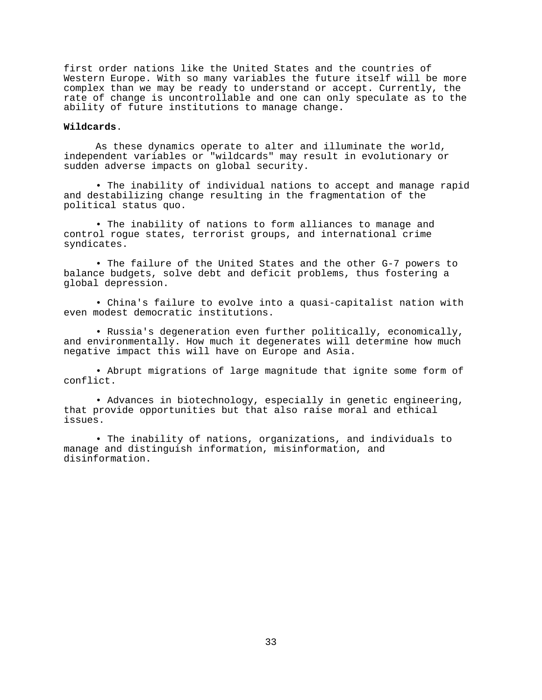first order nations like the United States and the countries of Western Europe. With so many variables the future itself will be more complex than we may be ready to understand or accept. Currently, the rate of change is uncontrollable and one can only speculate as to the ability of future institutions to manage change.

# **Wildcards**.

As these dynamics operate to alter and illuminate the world, independent variables or "wildcards" may result in evolutionary or sudden adverse impacts on global security.

• The inability of individual nations to accept and manage rapid and destabilizing change resulting in the fragmentation of the political status quo.

• The inability of nations to form alliances to manage and control rogue states, terrorist groups, and international crime syndicates.

• The failure of the United States and the other G-7 powers to balance budgets, solve debt and deficit problems, thus fostering a global depression.

• China's failure to evolve into a quasi-capitalist nation with even modest democratic institutions.

• Russia's degeneration even further politically, economically, and environmentally. How much it degenerates will determine how much negative impact this will have on Europe and Asia.

• Abrupt migrations of large magnitude that ignite some form of conflict.

• Advances in biotechnology, especially in genetic engineering, that provide opportunities but that also raise moral and ethical issues.

• The inability of nations, organizations, and individuals to manage and distinguish information, misinformation, and disinformation.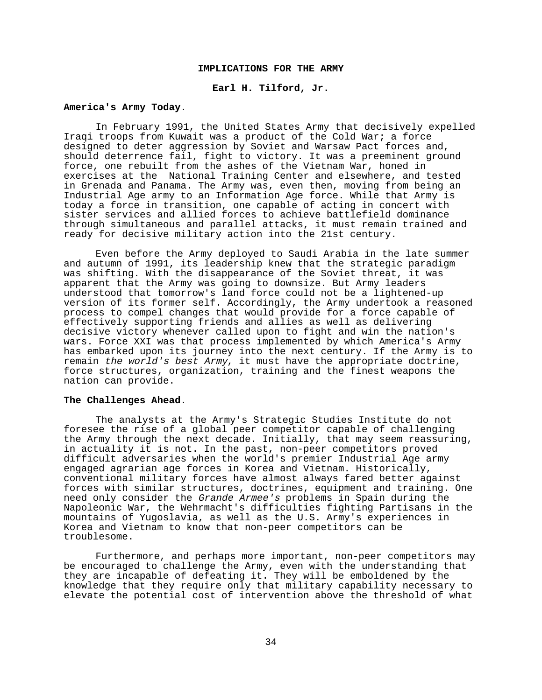## **IMPLICATIONS FOR THE ARMY**

### **Earl H. Tilford, Jr.**

#### **America's Army Today**.

In February 1991, the United States Army that decisively expelled Iraqi troops from Kuwait was a product of the Cold War; a force designed to deter aggression by Soviet and Warsaw Pact forces and, should deterrence fail, fight to victory. It was a preeminent ground force, one rebuilt from the ashes of the Vietnam War, honed in exercises at the National Training Center and elsewhere, and tested in Grenada and Panama. The Army was, even then, moving from being an Industrial Age army to an Information Age force. While that Army is today a force in transition, one capable of acting in concert with sister services and allied forces to achieve battlefield dominance through simultaneous and parallel attacks, it must remain trained and ready for decisive military action into the 21st century.

Even before the Army deployed to Saudi Arabia in the late summer and autumn of 1991, its leadership knew that the strategic paradigm was shifting. With the disappearance of the Soviet threat, it was apparent that the Army was going to downsize. But Army leaders understood that tomorrow's land force could not be a lightened-up version of its former self. Accordingly, the Army undertook a reasoned process to compel changes that would provide for a force capable of effectively supporting friends and allies as well as delivering decisive victory whenever called upon to fight and win the nation's wars. Force XXI was that process implemented by which America's Army has embarked upon its journey into the next century. If the Army is to remain the world's best Army, it must have the appropriate doctrine, force structures, organization, training and the finest weapons the nation can provide.

#### **The Challenges Ahead**.

The analysts at the Army's Strategic Studies Institute do not foresee the rise of a global peer competitor capable of challenging the Army through the next decade. Initially, that may seem reassuring, in actuality it is not. In the past, non-peer competitors proved difficult adversaries when the world's premier Industrial Age army engaged agrarian age forces in Korea and Vietnam. Historically, conventional military forces have almost always fared better against forces with similar structures, doctrines, equipment and training. One need only consider the Grande Armee's problems in Spain during the Napoleonic War, the Wehrmacht's difficulties fighting Partisans in the mountains of Yugoslavia, as well as the U.S. Army's experiences in Korea and Vietnam to know that non-peer competitors can be troublesome.

Furthermore, and perhaps more important, non-peer competitors may be encouraged to challenge the Army, even with the understanding that they are incapable of defeating it. They will be emboldened by the knowledge that they require only that military capability necessary to elevate the potential cost of intervention above the threshold of what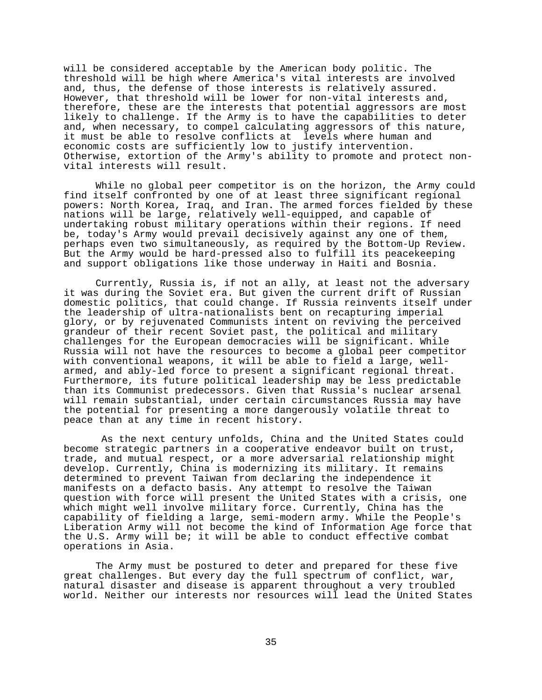will be considered acceptable by the American body politic. The threshold will be high where America's vital interests are involved and, thus, the defense of those interests is relatively assured. However, that threshold will be lower for non-vital interests and, therefore, these are the interests that potential aggressors are most likely to challenge. If the Army is to have the capabilities to deter and, when necessary, to compel calculating aggressors of this nature, it must be able to resolve conflicts at levels where human and economic costs are sufficiently low to justify intervention. Otherwise, extortion of the Army's ability to promote and protect nonvital interests will result.

While no global peer competitor is on the horizon, the Army could find itself confronted by one of at least three significant regional powers: North Korea, Iraq, and Iran. The armed forces fielded by these nations will be large, relatively well-equipped, and capable of undertaking robust military operations within their regions. If need be, today's Army would prevail decisively against any one of them, perhaps even two simultaneously, as required by the Bottom-Up Review. But the Army would be hard-pressed also to fulfill its peacekeeping and support obligations like those underway in Haiti and Bosnia.

Currently, Russia is, if not an ally, at least not the adversary it was during the Soviet era. But given the current drift of Russian domestic politics, that could change. If Russia reinvents itself under the leadership of ultra-nationalists bent on recapturing imperial glory, or by rejuvenated Communists intent on reviving the perceived grandeur of their recent Soviet past, the political and military challenges for the European democracies will be significant. While Russia will not have the resources to become a global peer competitor with conventional weapons, it will be able to field a large, wellarmed, and ably-led force to present a significant regional threat. Furthermore, its future political leadership may be less predictable than its Communist predecessors. Given that Russia's nuclear arsenal will remain substantial, under certain circumstances Russia may have the potential for presenting a more dangerously volatile threat to peace than at any time in recent history.

 As the next century unfolds, China and the United States could become strategic partners in a cooperative endeavor built on trust, trade, and mutual respect, or a more adversarial relationship might develop. Currently, China is modernizing its military. It remains determined to prevent Taiwan from declaring the independence it manifests on a defacto basis. Any attempt to resolve the Taiwan question with force will present the United States with a crisis, one which might well involve military force. Currently, China has the capability of fielding a large, semi-modern army. While the People's Liberation Army will not become the kind of Information Age force that the U.S. Army will be; it will be able to conduct effective combat operations in Asia.

The Army must be postured to deter and prepared for these five great challenges. But every day the full spectrum of conflict, war, natural disaster and disease is apparent throughout a very troubled world. Neither our interests nor resources will lead the United States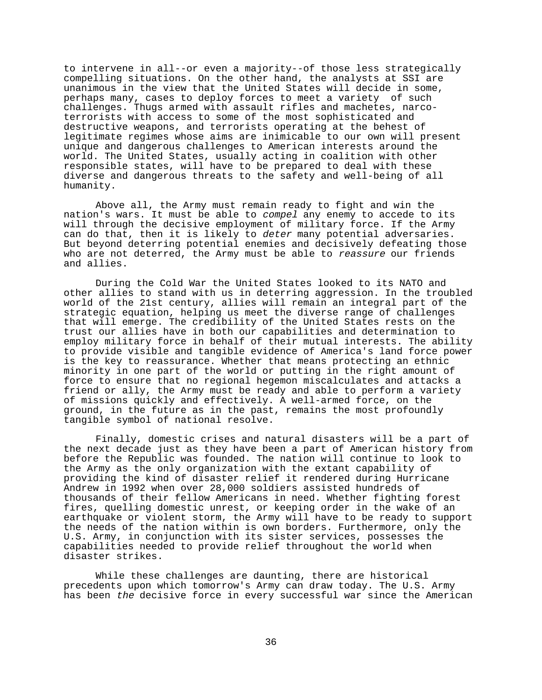to intervene in all--or even a majority--of those less strategically compelling situations. On the other hand, the analysts at SSI are unanimous in the view that the United States will decide in some, perhaps many, cases to deploy forces to meet a variety of such challenges. Thugs armed with assault rifles and machetes, narcoterrorists with access to some of the most sophisticated and destructive weapons, and terrorists operating at the behest of legitimate regimes whose aims are inimicable to our own will present unique and dangerous challenges to American interests around the world. The United States, usually acting in coalition with other responsible states, will have to be prepared to deal with these diverse and dangerous threats to the safety and well-being of all humanity.

Above all, the Army must remain ready to fight and win the nation's wars. It must be able to compel any enemy to accede to its will through the decisive employment of military force. If the Army can do that, then it is likely to deter many potential adversaries. But beyond deterring potential enemies and decisively defeating those who are not deterred, the Army must be able to reassure our friends and allies.

During the Cold War the United States looked to its NATO and other allies to stand with us in deterring aggression. In the troubled world of the 21st century, allies will remain an integral part of the strategic equation, helping us meet the diverse range of challenges that will emerge. The credibility of the United States rests on the trust our allies have in both our capabilities and determination to employ military force in behalf of their mutual interests. The ability to provide visible and tangible evidence of America's land force power is the key to reassurance. Whether that means protecting an ethnic minority in one part of the world or putting in the right amount of force to ensure that no regional hegemon miscalculates and attacks a friend or ally, the Army must be ready and able to perform a variety of missions quickly and effectively. A well-armed force, on the ground, in the future as in the past, remains the most profoundly tangible symbol of national resolve.

Finally, domestic crises and natural disasters will be a part of the next decade just as they have been a part of American history from before the Republic was founded. The nation will continue to look to the Army as the only organization with the extant capability of providing the kind of disaster relief it rendered during Hurricane Andrew in 1992 when over 28,000 soldiers assisted hundreds of thousands of their fellow Americans in need. Whether fighting forest fires, quelling domestic unrest, or keeping order in the wake of an earthquake or violent storm, the Army will have to be ready to support the needs of the nation within is own borders. Furthermore, only the U.S. Army, in conjunction with its sister services, possesses the capabilities needed to provide relief throughout the world when disaster strikes.

While these challenges are daunting, there are historical precedents upon which tomorrow's Army can draw today. The U.S. Army has been the decisive force in every successful war since the American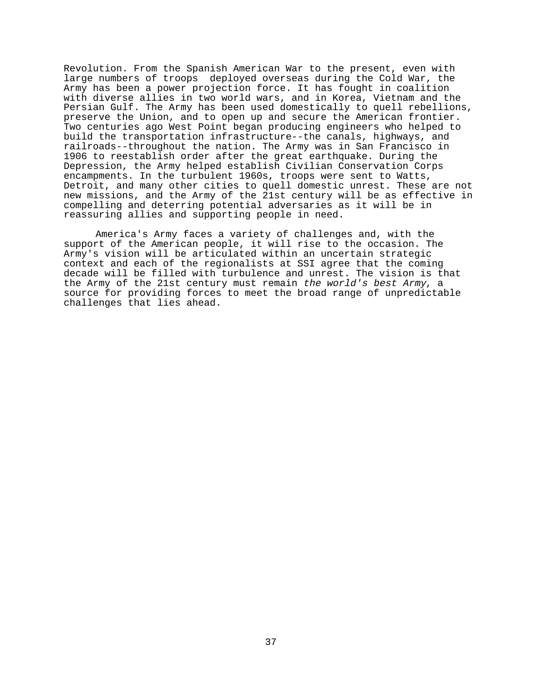Revolution. From the Spanish American War to the present, even with large numbers of troops deployed overseas during the Cold War, the Army has been a power projection force. It has fought in coalition with diverse allies in two world wars, and in Korea, Vietnam and the Persian Gulf. The Army has been used domestically to quell rebellions, preserve the Union, and to open up and secure the American frontier. Two centuries ago West Point began producing engineers who helped to build the transportation infrastructure--the canals, highways, and railroads--throughout the nation. The Army was in San Francisco in 1906 to reestablish order after the great earthquake. During the Depression, the Army helped establish Civilian Conservation Corps encampments. In the turbulent 1960s, troops were sent to Watts, Detroit, and many other cities to quell domestic unrest. These are not new missions, and the Army of the 21st century will be as effective in compelling and deterring potential adversaries as it will be in reassuring allies and supporting people in need.

America's Army faces a variety of challenges and, with the support of the American people, it will rise to the occasion. The Army's vision will be articulated within an uncertain strategic context and each of the regionalists at SSI agree that the coming decade will be filled with turbulence and unrest. The vision is that the Army of the 21st century must remain the world's best Army, a source for providing forces to meet the broad range of unpredictable challenges that lies ahead.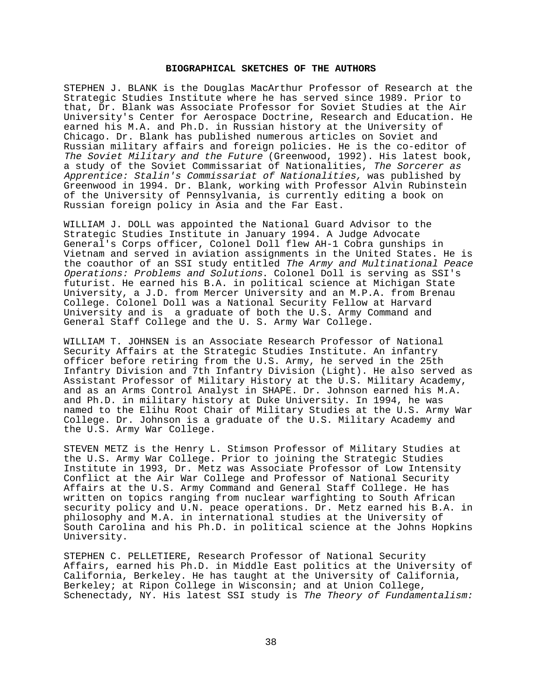### **BIOGRAPHICAL SKETCHES OF THE AUTHORS**

STEPHEN J. BLANK is the Douglas MacArthur Professor of Research at the Strategic Studies Institute where he has served since 1989. Prior to that, Dr. Blank was Associate Professor for Soviet Studies at the Air University's Center for Aerospace Doctrine, Research and Education. He earned his M.A. and Ph.D. in Russian history at the University of Chicago. Dr. Blank has published numerous articles on Soviet and Russian military affairs and foreign policies. He is the co-editor of The Soviet Military and the Future (Greenwood, 1992). His latest book, a study of the Soviet Commissariat of Nationalities, The Sorcerer as Apprentice: Stalin's Commissariat of Nationalities, was published by Greenwood in 1994. Dr. Blank, working with Professor Alvin Rubinstein of the University of Pennsylvania, is currently editing a book on Russian foreign policy in Asia and the Far East.

WILLIAM J. DOLL was appointed the National Guard Advisor to the Strategic Studies Institute in January 1994. A Judge Advocate General's Corps officer, Colonel Doll flew AH-1 Cobra gunships in Vietnam and served in aviation assignments in the United States. He is the coauthor of an SSI study entitled The Army and Multinational Peace Operations: Problems and Solutions. Colonel Doll is serving as SSI's futurist. He earned his B.A. in political science at Michigan State University, a J.D. from Mercer University and an M.P.A. from Brenau College. Colonel Doll was a National Security Fellow at Harvard University and is a graduate of both the U.S. Army Command and General Staff College and the U. S. Army War College.

WILLIAM T. JOHNSEN is an Associate Research Professor of National Security Affairs at the Strategic Studies Institute. An infantry officer before retiring from the U.S. Army, he served in the 25th Infantry Division and 7th Infantry Division (Light). He also served as Assistant Professor of Military History at the U.S. Military Academy, and as an Arms Control Analyst in SHAPE. Dr. Johnson earned his M.A. and Ph.D. in military history at Duke University. In 1994, he was named to the Elihu Root Chair of Military Studies at the U.S. Army War College. Dr. Johnson is a graduate of the U.S. Military Academy and the U.S. Army War College.

STEVEN METZ is the Henry L. Stimson Professor of Military Studies at the U.S. Army War College. Prior to joining the Strategic Studies Institute in 1993, Dr. Metz was Associate Professor of Low Intensity Conflict at the Air War College and Professor of National Security Affairs at the U.S. Army Command and General Staff College. He has written on topics ranging from nuclear warfighting to South African security policy and U.N. peace operations. Dr. Metz earned his B.A. in philosophy and M.A. in international studies at the University of South Carolina and his Ph.D. in political science at the Johns Hopkins University.

STEPHEN C. PELLETIERE, Research Professor of National Security Affairs, earned his Ph.D. in Middle East politics at the University of California, Berkeley. He has taught at the University of California, Berkeley; at Ripon College in Wisconsin; and at Union College, Schenectady, NY. His latest SSI study is The Theory of Fundamentalism: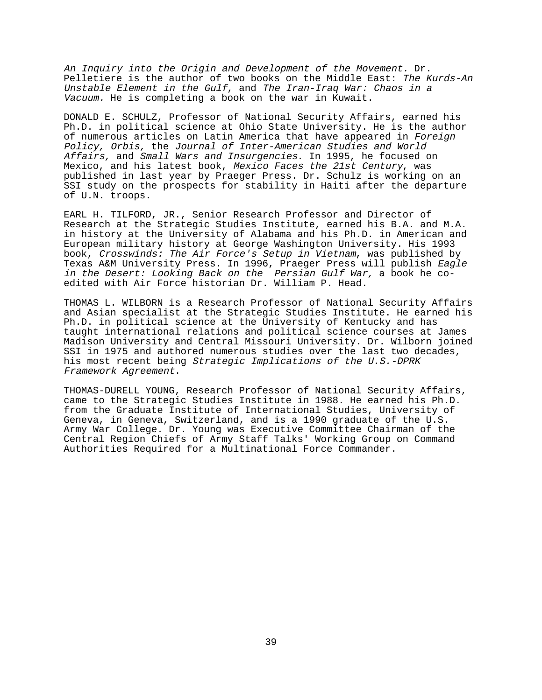An Inquiry into the Origin and Development of the Movement. Dr. Pelletiere is the author of two books on the Middle East: The Kurds-An Unstable Element in the Gulf, and The Iran-Iraq War: Chaos in a Vacuum. He is completing a book on the war in Kuwait.

DONALD E. SCHULZ, Professor of National Security Affairs, earned his Ph.D. in political science at Ohio State University. He is the author of numerous articles on Latin America that have appeared in Foreign Policy, Orbis, the Journal of Inter-American Studies and World Affairs, and Small Wars and Insurgencies. In 1995, he focused on Mexico, and his latest book, Mexico Faces the 21st Century, was published in last year by Praeger Press. Dr. Schulz is working on an SSI study on the prospects for stability in Haiti after the departure of U.N. troops.

EARL H. TILFORD, JR., Senior Research Professor and Director of Research at the Strategic Studies Institute, earned his B.A. and M.A. in history at the University of Alabama and his Ph.D. in American and European military history at George Washington University. His 1993 book, Crosswinds: The Air Force's Setup in Vietnam, was published by Texas A&M University Press. In 1996, Praeger Press will publish Eagle in the Desert: Looking Back on the Persian Gulf War, a book he coedited with Air Force historian Dr. William P. Head.

THOMAS L. WILBORN is a Research Professor of National Security Affairs and Asian specialist at the Strategic Studies Institute. He earned his Ph.D. in political science at the University of Kentucky and has taught international relations and political science courses at James Madison University and Central Missouri University. Dr. Wilborn joined SSI in 1975 and authored numerous studies over the last two decades, his most recent being *Strategic Implications of the U.S.-DPRK* Framework Agreement.

THOMAS-DURELL YOUNG, Research Professor of National Security Affairs, came to the Strategic Studies Institute in 1988. He earned his Ph.D. from the Graduate Institute of International Studies, University of Geneva, in Geneva, Switzerland, and is a 1990 graduate of the U.S. Army War College. Dr. Young was Executive Committee Chairman of the Central Region Chiefs of Army Staff Talks' Working Group on Command Authorities Required for a Multinational Force Commander.